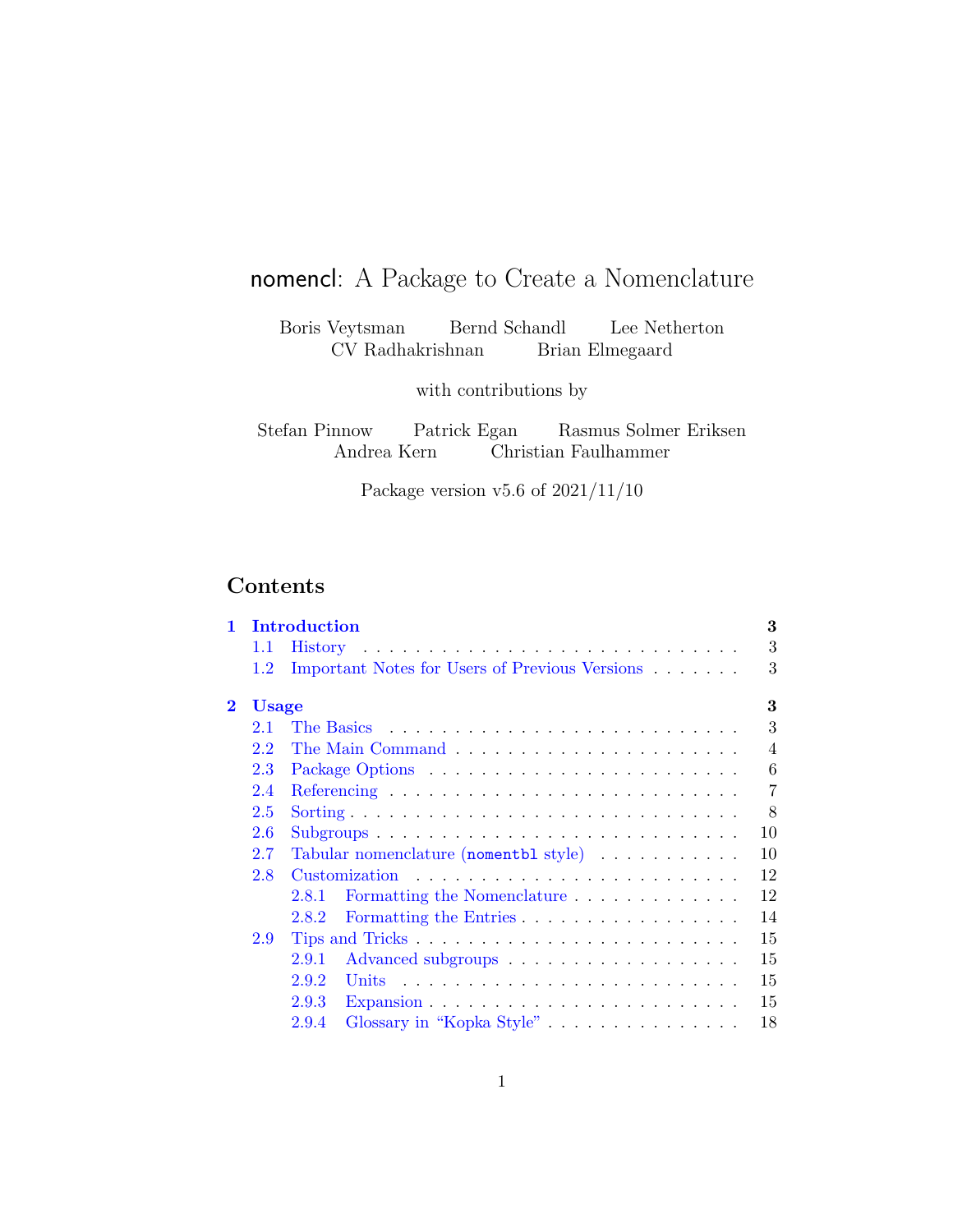# <span id="page-0-0"></span>nomencl: A Package to Create a Nomenclature

Boris Veytsman Bernd Schandl Lee Netherton CV Radhakrishnan Brian Elmegaard

with contributions by

Stefan Pinnow Patrick Egan Rasmus Solmer Eriksen Andrea Kern Christian Faulhammer

Package version v5.6 of 2021/11/10

## Contents

| 1        |              | Introduction                                                                                                                         | 3              |
|----------|--------------|--------------------------------------------------------------------------------------------------------------------------------------|----------------|
|          | 1.1          |                                                                                                                                      | 3              |
|          | 1.2          | Important Notes for Users of Previous Versions                                                                                       | 3              |
| $\bf{2}$ | <b>Usage</b> |                                                                                                                                      | 3              |
|          | 2.1          |                                                                                                                                      | 3              |
|          | 2.2          |                                                                                                                                      | $\overline{4}$ |
|          | 2.3          |                                                                                                                                      | 6              |
|          | 2.4          |                                                                                                                                      | 7              |
|          | 2.5          |                                                                                                                                      | 8              |
|          | 2.6          | $Subgroups \n\t\ldots \n\t\ldots \n\t\ldots \n\t\ldots \n\t\ldots \n\t\ldots \n\t\ldots \n\t\ldots \n\t\ldots \n\t\ldots \n\t\ldots$ | 10             |
|          | 2.7          | Tabular nomenclature (nomentbl style)                                                                                                | 10             |
|          | 2.8          |                                                                                                                                      | 12             |
|          |              | Formatting the Nomenclature<br>2.8.1                                                                                                 | 12             |
|          |              | Formatting the Entries<br>2.8.2                                                                                                      | 14             |
|          | 2.9          |                                                                                                                                      | 15             |
|          |              | 2.9.1                                                                                                                                | 15             |
|          |              | 2.9.2                                                                                                                                | 15             |
|          |              | 2.9.3<br>Expansion $\ldots \ldots \ldots \ldots \ldots \ldots \ldots \ldots$                                                         | 15             |
|          |              | 2.9.4<br>Glossary in "Kopka Style"                                                                                                   | 18             |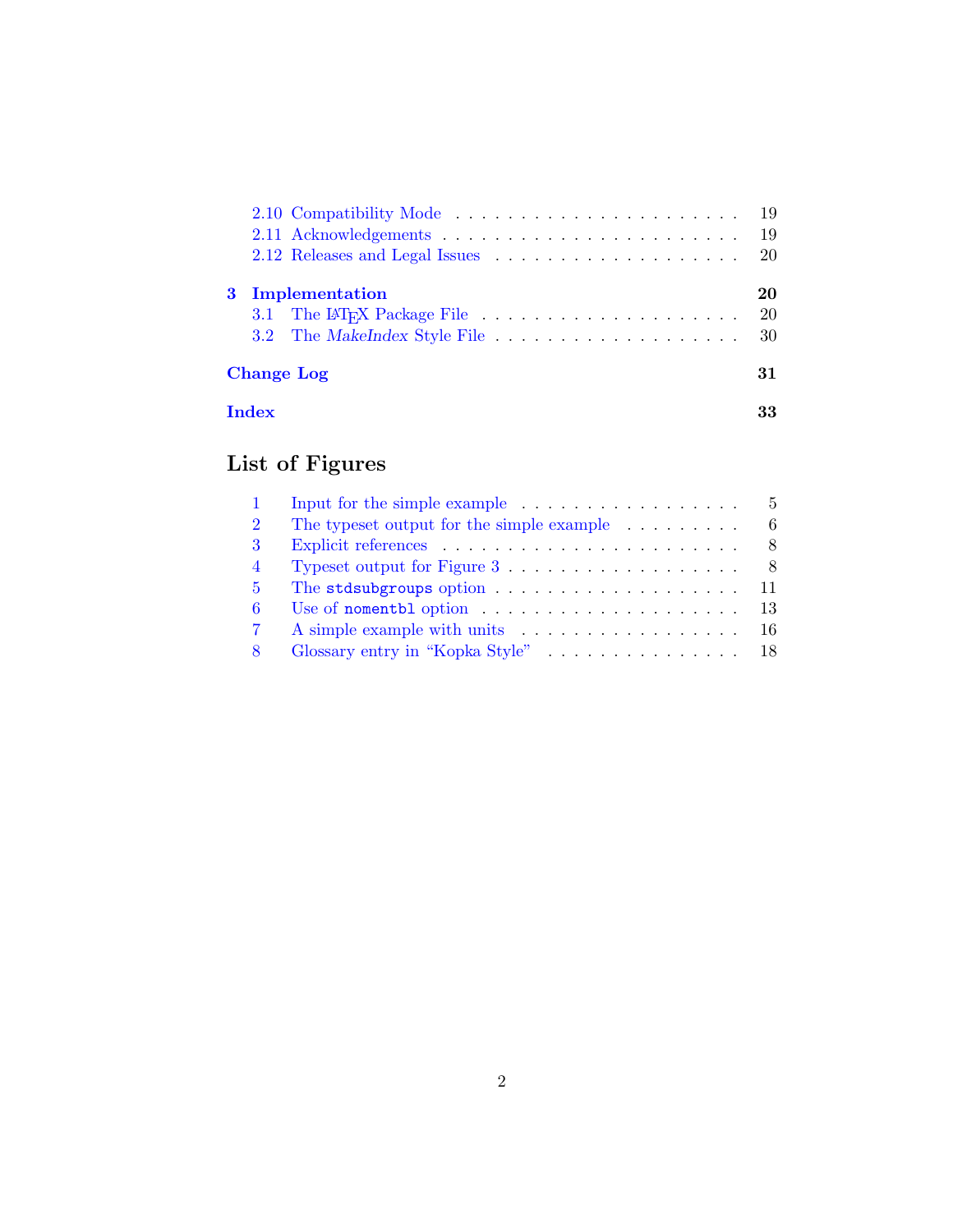|   |                                                                                     |  | -19 |
|---|-------------------------------------------------------------------------------------|--|-----|
|   |                                                                                     |  | 19  |
|   |                                                                                     |  | 20  |
| 3 | Implementation                                                                      |  | 20  |
|   | 3.1 The LAT <sub>F</sub> X Package File $\ldots \ldots \ldots \ldots \ldots \ldots$ |  | 20  |
|   |                                                                                     |  |     |
|   | <b>Change Log</b>                                                                   |  | 31  |
|   | Index                                                                               |  | 33  |

# List of Figures

|                | Input for the simple example $\dots \dots \dots \dots \dots \dots \dots$     |
|----------------|------------------------------------------------------------------------------|
| $\overline{2}$ | The typeset output for the simple example $\dots \dots$<br>6                 |
| 3              |                                                                              |
| $\overline{4}$ | Typeset output for Figure $3 \ldots \ldots \ldots \ldots \ldots$ 8           |
| $5^{\circ}$    | The stdsubgroups option $\ldots \ldots \ldots \ldots \ldots \ldots 11$       |
| 6              | Use of nomentbl option $\ldots \ldots \ldots \ldots \ldots \ldots \ldots$ 13 |
|                |                                                                              |
|                |                                                                              |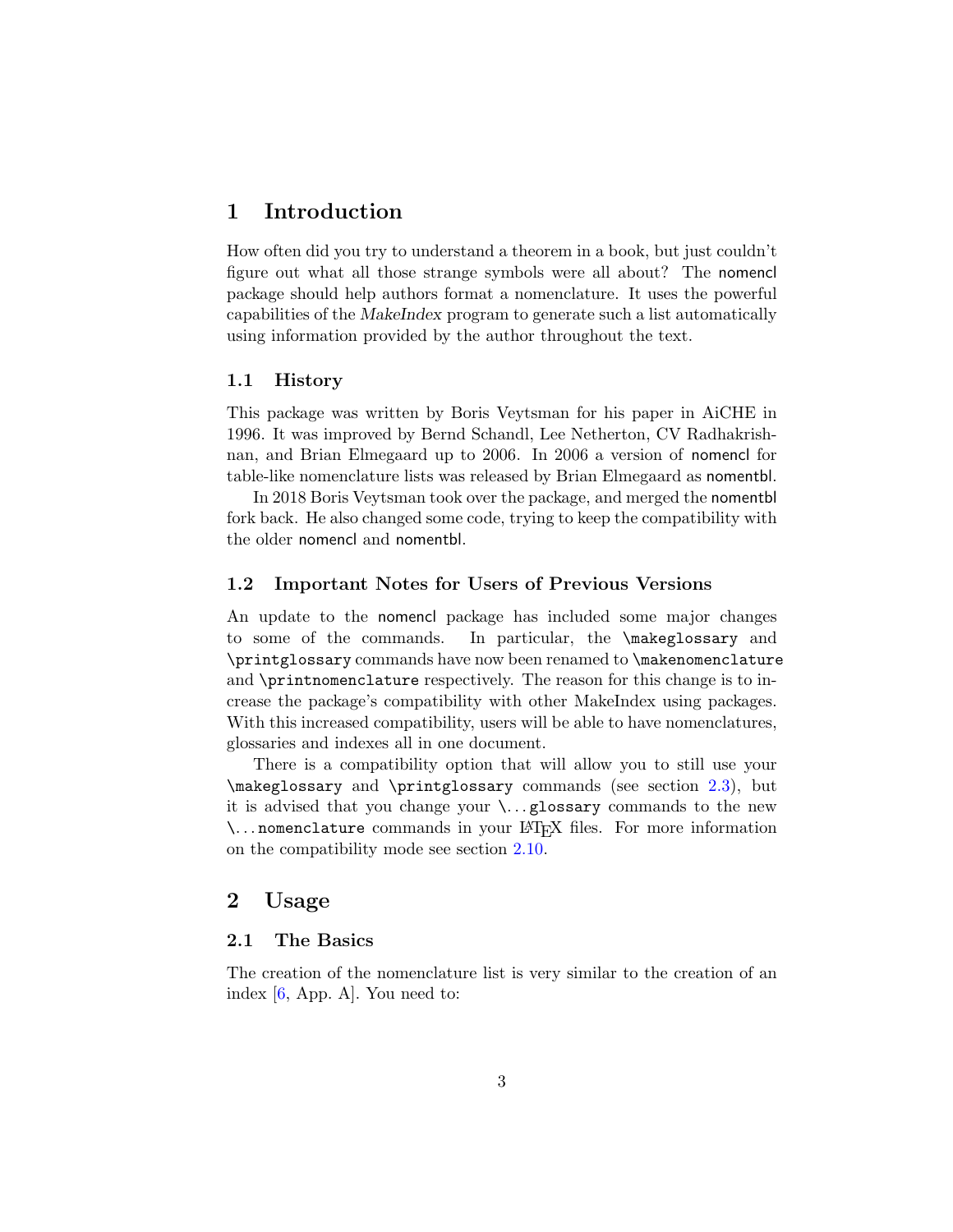## <span id="page-2-0"></span>1 Introduction

How often did you try to understand a theorem in a book, but just couldn't figure out what all those strange symbols were all about? The nomencl package should help authors format a nomenclature. It uses the powerful capabilities of the MakeIndex program to generate such a list automatically using information provided by the author throughout the text.

#### <span id="page-2-1"></span>1.1 History

This package was written by Boris Veytsman for his paper in AiCHE in 1996. It was improved by Bernd Schandl, Lee Netherton, CV Radhakrishnan, and Brian Elmegaard up to 2006. In 2006 a version of nomencl for table-like nomenclature lists was released by Brian Elmegaard as nomentbl.

In 2018 Boris Veytsman took over the package, and merged the nomentbl fork back. He also changed some code, trying to keep the compatibility with the older nomencl and nomentbl.

#### <span id="page-2-2"></span>1.2 Important Notes for Users of Previous Versions

An update to the nomencl package has included some major changes to some of the commands. In particular, the \makeglossary and \printglossary commands have now been renamed to \makenomenclature and \printnomenclature respectively. The reason for this change is to increase the package's compatibility with other MakeIndex using packages. With this increased compatibility, users will be able to have nomenclatures, glossaries and indexes all in one document.

There is a compatibility option that will allow you to still use your \makeglossary and \printglossary commands (see section [2.3\)](#page-5-0), but it is advised that you change your  $\ldots$  glossary commands to the new \. . . nomenclature commands in your LATEX files. For more information on the compatibility mode see section [2.10.](#page-18-0)

### <span id="page-2-3"></span>2 Usage

#### <span id="page-2-4"></span>2.1 The Basics

The creation of the nomenclature list is very similar to the creation of an index  $[6, App. A]$  $[6, App. A]$ . You need to: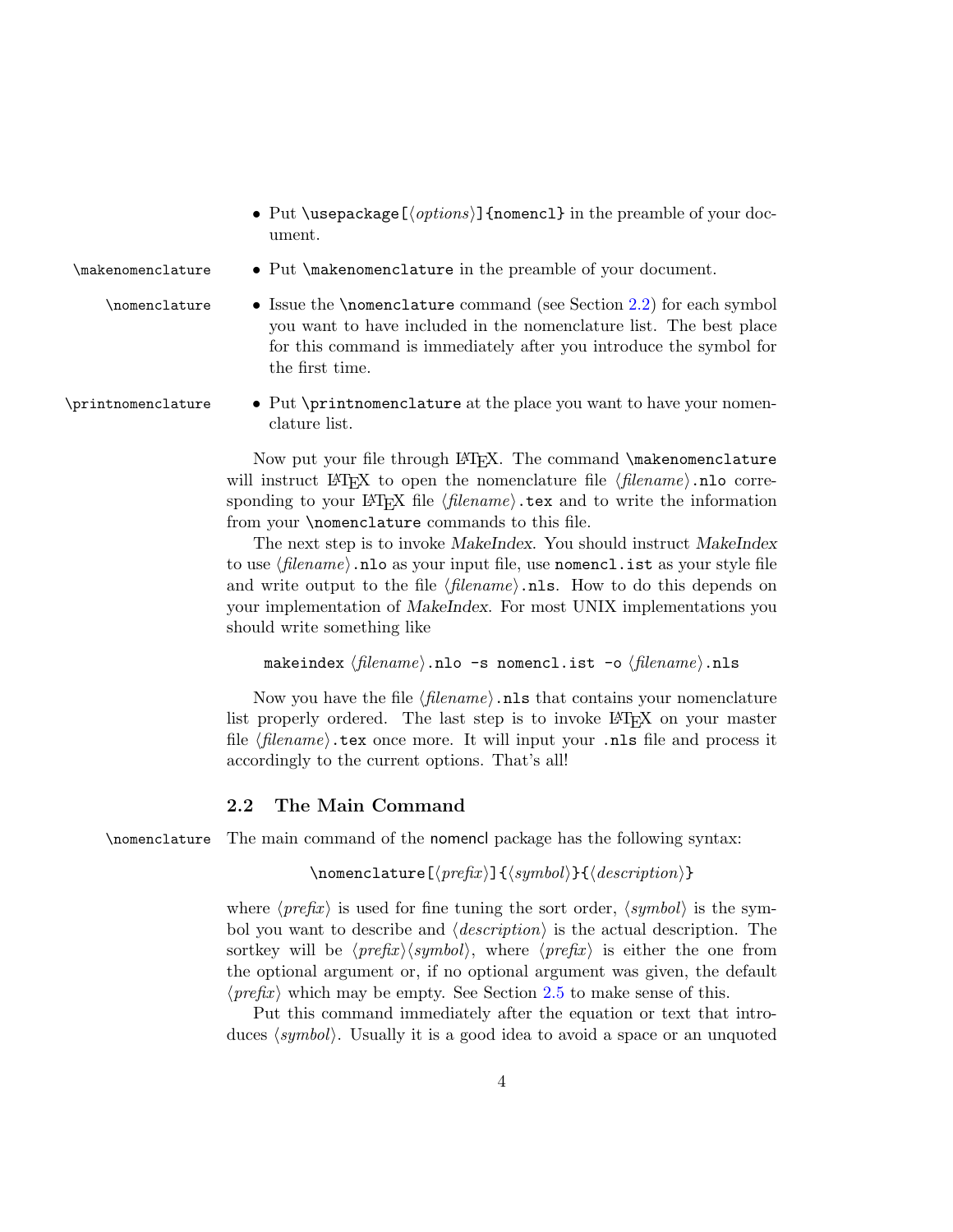- <span id="page-3-1"></span>• Put \usepackage  $[*options*$ ] {nomencl} in the preamble of your document.
- \makenomenclature Put \makenomenclature in the preamble of your document.
	-
	- \nomenclature Issue the \nomenclature command (see Section [2.2\)](#page-3-0) for each symbol you want to have included in the nomenclature list. The best place for this command is immediately after you introduce the symbol for the first time.
- \printnomenclature Put \printnomenclature at the place you want to have your nomenclature list.

Now put your file through LAT<sub>E</sub>X. The command **\makenomenclature** will instruct LAT<sub>E</sub>X to open the nomenclature file  $\langle filename \rangle$ .nlo corresponding to your LAT<sub>EX</sub> file  $\langle filename\rangle$ .tex and to write the information from your \nomenclature commands to this file.

The next step is to invoke MakeIndex. You should instruct MakeIndex to use  $\langle filename\rangle$ .nlo as your input file, use nomencl.ist as your style file and write output to the file  $\langle$  filename $\rangle$ .nls. How to do this depends on your implementation of MakeIndex. For most UNIX implementations you should write something like

```
makeindex \langle filename \rangle.nlo -s nomencl.ist -o \langle filename \rangle.nls
```
Now you have the file  $\langle$  filename $\rangle$ . nls that contains your nomenclature list properly ordered. The last step is to invoke LAT<sub>E</sub>X on your master file  $\langle filename \rangle$  tex once more. It will input your .nls file and process it accordingly to the current options. That's all!

#### <span id="page-3-0"></span>2.2 The Main Command

\nomenclature The main command of the nomencl package has the following syntax:

```
\mbox{\bf \Omega} \nomenclature [\langle prefix \rangle] {\langle asymptot \rangle} {\langle description \rangle}
```
where  $\langle prefix \rangle$  is used for fine tuning the sort order,  $\langle symbol \rangle$  is the symbol you want to describe and  $\langle description \rangle$  is the actual description. The sortkey will be  $\langle prefix \rangle \langle symbol \rangle$ , where  $\langle prefix \rangle$  is either the one from the optional argument or, if no optional argument was given, the default  $\langle prefix \rangle$  which may be empty. See Section [2.5](#page-7-0) to make sense of this.

Put this command immediately after the equation or text that introduces  $\langle symbol \rangle$ . Usually it is a good idea to avoid a space or an unquoted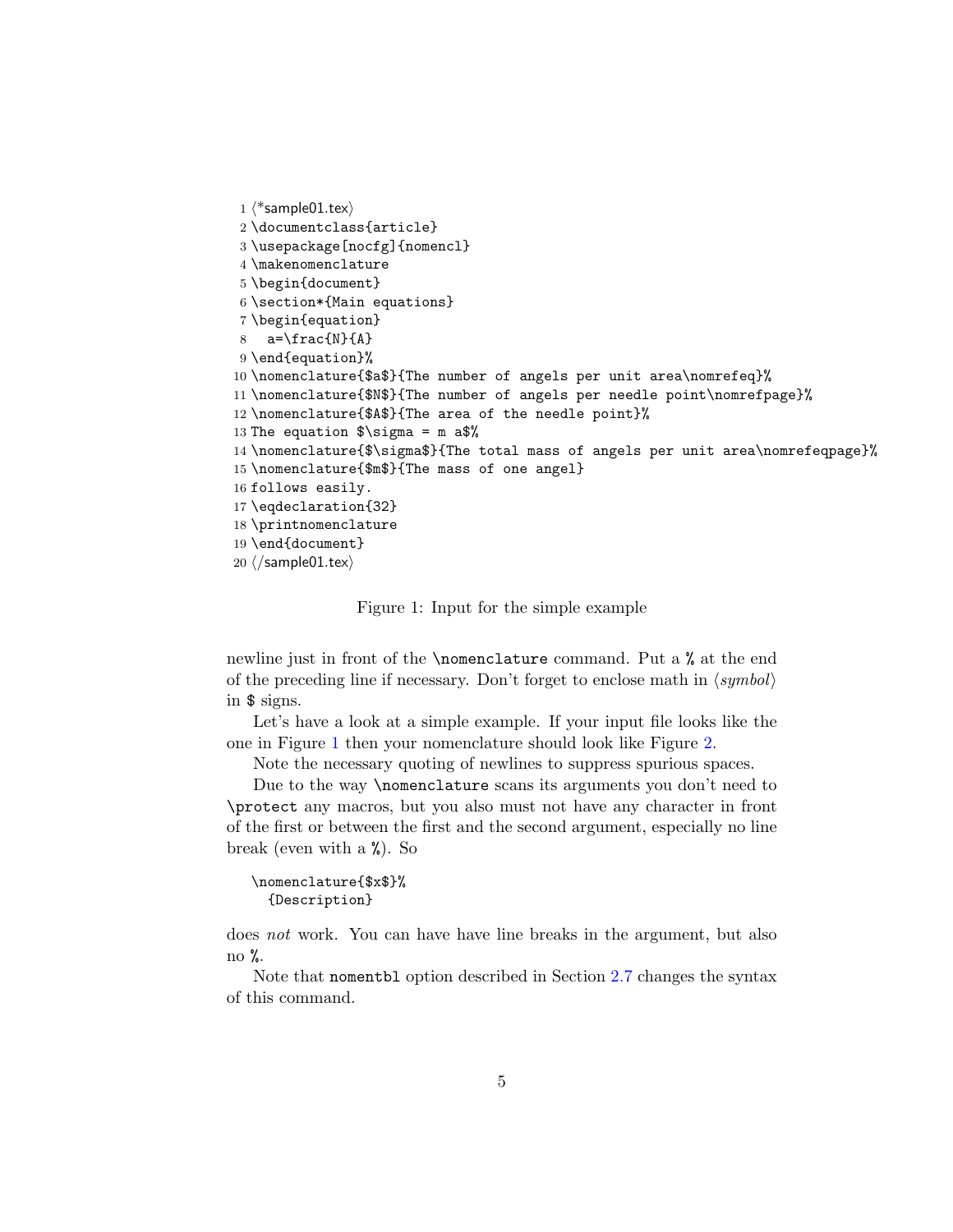```
1 \langle *sample01.tex\rangle2 \documentclass{article}
3 \usepackage[nocfg]{nomencl}
4 \makenomenclature
5 \begin{document}
6 \section*{Main equations}
7 \begin{equation}
8 a=\frac{N}{A}
9 \end{equation}%
10 \nomenclature{$a$}{The number of angels per unit area\nomrefeq}%
11 \nomenclature{$N$}{The number of angels per needle point\nomrefpage}%
12 \nomenclature{$A$}{The area of the needle point}%
13 The equation \sigma = m a$%
14 \nomenclature{$\sigma$}{The total mass of angels per unit area\nomrefeqpage}%
15 \nomenclature{$m$}{The mass of one angel}
16 follows easily.
17 \eqdeclaration{32}
18 \printnomenclature
19 \end{document}
20 \langle/sample01.tex)
```
<span id="page-4-0"></span>Figure 1: Input for the simple example

newline just in front of the \nomenclature command. Put a % at the end of the preceding line if necessary. Don't forget to enclose math in ⟨symbol⟩ in \$ signs.

Let's have a look at a simple example. If your input file looks like the one in Figure [1](#page-4-0) then your nomenclature should look like Figure [2.](#page-5-1)

Note the necessary quoting of newlines to suppress spurious spaces.

Due to the way \nomenclature scans its arguments you don't need to \protect any macros, but you also must not have any character in front of the first or between the first and the second argument, especially no line break (even with a %). So

```
\nomenclature{$x$}%
 {Description}
```
does not work. You can have have line breaks in the argument, but also no  $\%$ .

Note that nomentbl option described in Section [2.7](#page-9-1) changes the syntax of this command.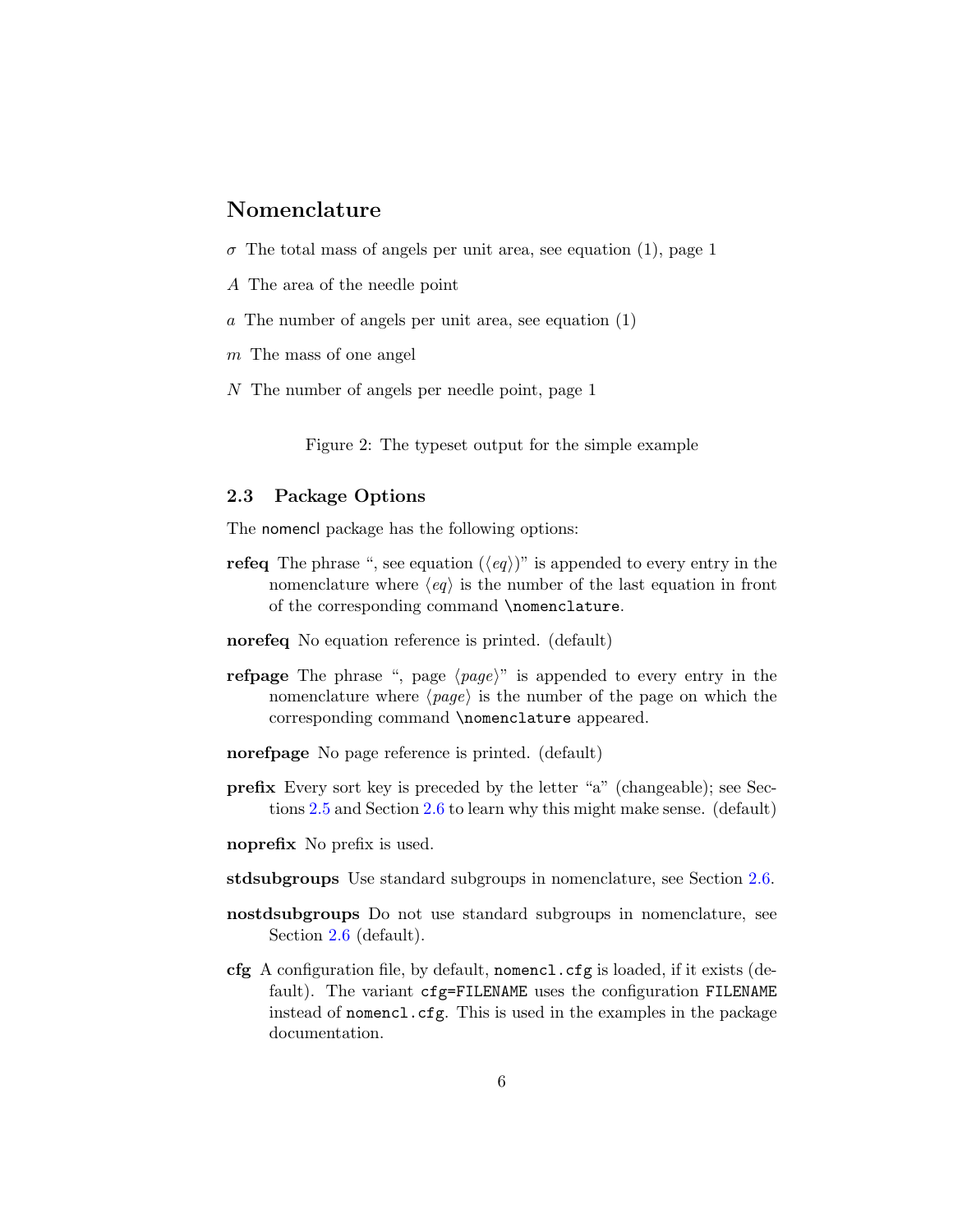## <span id="page-5-2"></span>Nomenclature

- $\sigma$  The total mass of angels per unit area, see equation (1), page 1
- A The area of the needle point
- a The number of angels per unit area, see equation (1)
- m The mass of one angel
- N The number of angels per needle point, page 1

<span id="page-5-1"></span>Figure 2: The typeset output for the simple example

#### <span id="page-5-0"></span>2.3 Package Options

The nomencl package has the following options:

- **refeq** The phrase ", see equation  $(\langle eq \rangle)$ " is appended to every entry in the nomenclature where  $\langle eq \rangle$  is the number of the last equation in front of the corresponding command \nomenclature.
- norefeq No equation reference is printed. (default)
- **refpage** The phrase ", page  $\langle page \rangle$ " is appended to every entry in the nomenclature where  $\langle page \rangle$  is the number of the page on which the corresponding command \nomenclature appeared.
- norefpage No page reference is printed. (default)
- prefix Every sort key is preceded by the letter "a" (changeable); see Sections [2.5](#page-7-0) and Section [2.6](#page-9-0) to learn why this might make sense. (default)

noprefix No prefix is used.

- stdsubgroups Use standard subgroups in nomenclature, see Section [2.6.](#page-9-0)
- nostdsubgroups Do not use standard subgroups in nomenclature, see Section [2.6](#page-9-0) (default).
- cfg A configuration file, by default, nomencl.cfg is loaded, if it exists (default). The variant cfg=FILENAME uses the configuration FILENAME instead of nomencl.cfg. This is used in the examples in the package documentation.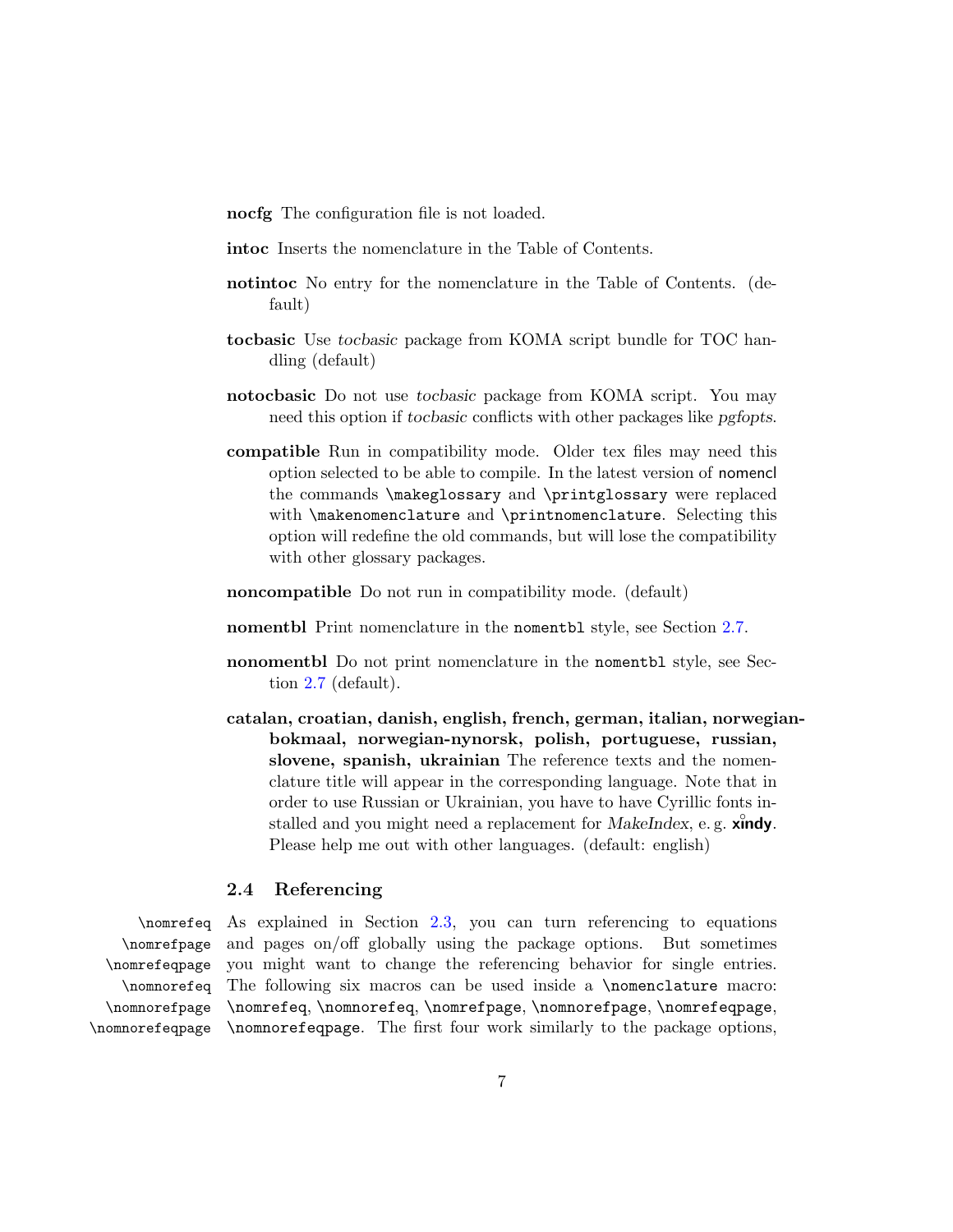nocfg The configuration file is not loaded.

intoc Inserts the nomenclature in the Table of Contents.

- notintoc No entry for the nomenclature in the Table of Contents. (default)
- tocbasic Use tocbasic package from KOMA script bundle for TOC handling (default)
- notocbasic Do not use tocbasic package from KOMA script. You may need this option if tocbasic conflicts with other packages like pgfopts.
- compatible Run in compatibility mode. Older tex files may need this option selected to be able to compile. In the latest version of nomencl the commands \makeglossary and \printglossary were replaced with \makenomenclature and \printnomenclature. Selecting this option will redefine the old commands, but will lose the compatibility with other glossary packages.
- noncompatible Do not run in compatibility mode. (default)
- nomentbl Print nomenclature in the nomentbl style, see Section [2.7.](#page-9-1)
- nonomentbl Do not print nomenclature in the nomentbl style, see Section [2.7](#page-9-1) (default).
- catalan, croatian, danish, english, french, german, italian, norwegianbokmaal, norwegian-nynorsk, polish, portuguese, russian, slovene, spanish, ukrainian The reference texts and the nomenclature title will appear in the corresponding language. Note that in order to use Russian or Ukrainian, you have to have Cyrillic fonts installed and you might need a replacement for MakeIndex, e.g. xindy. Please help me out with other languages. (default: english)

#### <span id="page-6-0"></span>2.4 Referencing

\nomrefpage \nomrefeqpage \nomnorefeq \nomnorefpage \nomnorefeqpage

\nomrefeq As explained in Section [2.3,](#page-5-0) you can turn referencing to equations and pages on/off globally using the package options. But sometimes you might want to change the referencing behavior for single entries. The following six macros can be used inside a \nomenclature macro: \nomrefeq, \nomnorefeq, \nomrefpage, \nomnorefpage, \nomrefeqpage, \nomnorefeqpage. The first four work similarly to the package options,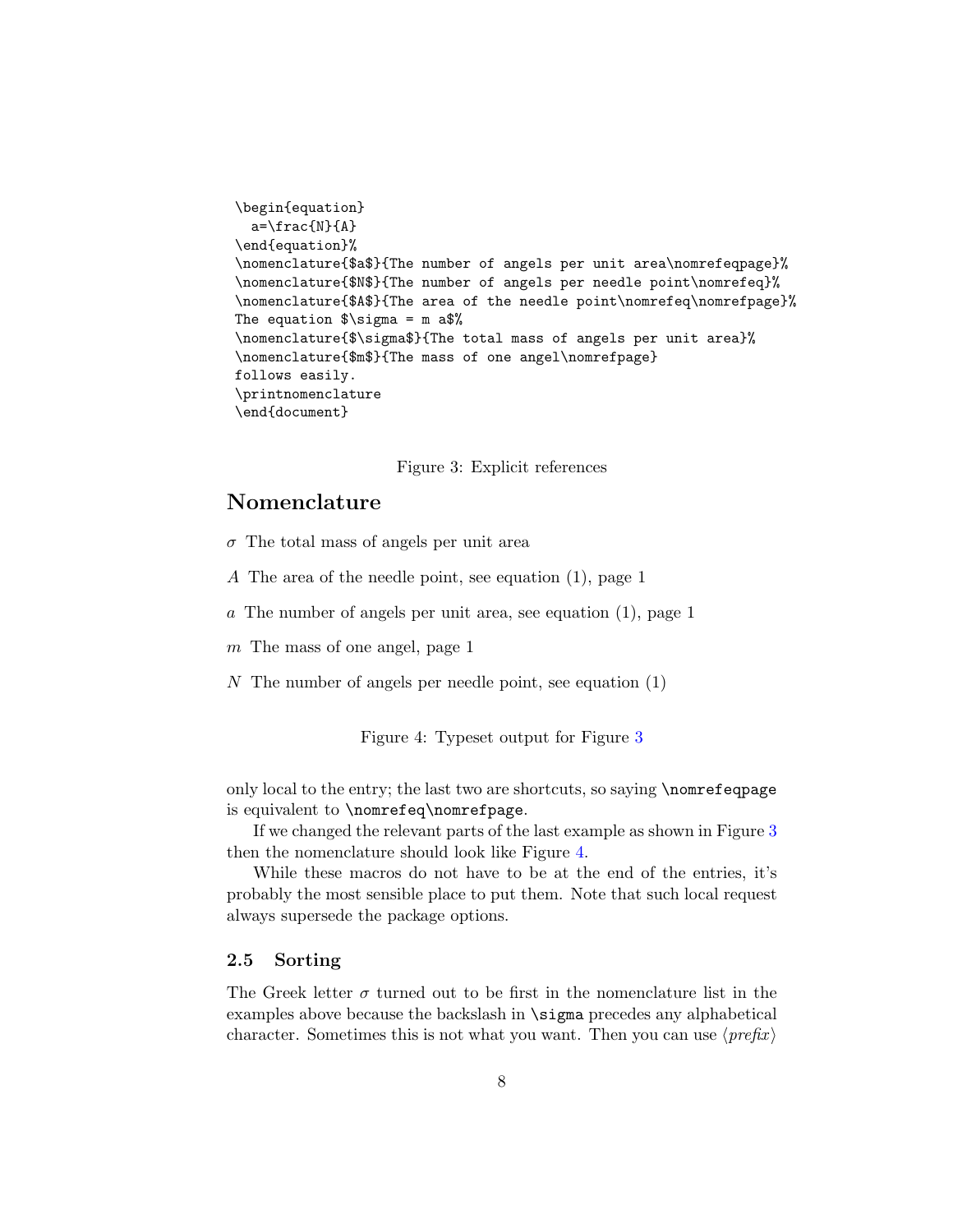```
\begin{equation}
  a=\frac{N}{A}\end{equation}%
\nomenclature{$a$}{The number of angels per unit area\nomrefeqpage}%
\nomenclature{$N$}{The number of angels per needle point\nomrefeq}%
\nomenclature{$A$}{The area of the needle point\nomrefeq\nomrefpage}%
The equation \sigma = m a.
\nomenclature{$\sigma$}{The total mass of angels per unit area}%
\nomenclature{$m$}{The mass of one angel\nomrefpage}
follows easily.
\printnomenclature
\end{document}
```
<span id="page-7-1"></span>Figure 3: Explicit references

## Nomenclature

- $\sigma$  The total mass of angels per unit area
- A The area of the needle point, see equation (1), page 1
- a The number of angels per unit area, see equation (1), page 1
- m The mass of one angel, page 1
- N The number of angels per needle point, see equation (1)

<span id="page-7-2"></span>Figure 4: Typeset output for Figure [3](#page-7-1)

only local to the entry; the last two are shortcuts, so saying \nomrefeqpage is equivalent to \nomrefeq\nomrefpage.

If we changed the relevant parts of the last example as shown in Figure [3](#page-7-1) then the nomenclature should look like Figure [4.](#page-7-2)

While these macros do not have to be at the end of the entries, it's probably the most sensible place to put them. Note that such local request always supersede the package options.

#### <span id="page-7-0"></span>2.5 Sorting

The Greek letter  $\sigma$  turned out to be first in the nomenclature list in the examples above because the backslash in \sigma precedes any alphabetical character. Sometimes this is not what you want. Then you can use  $\langle prefix \rangle$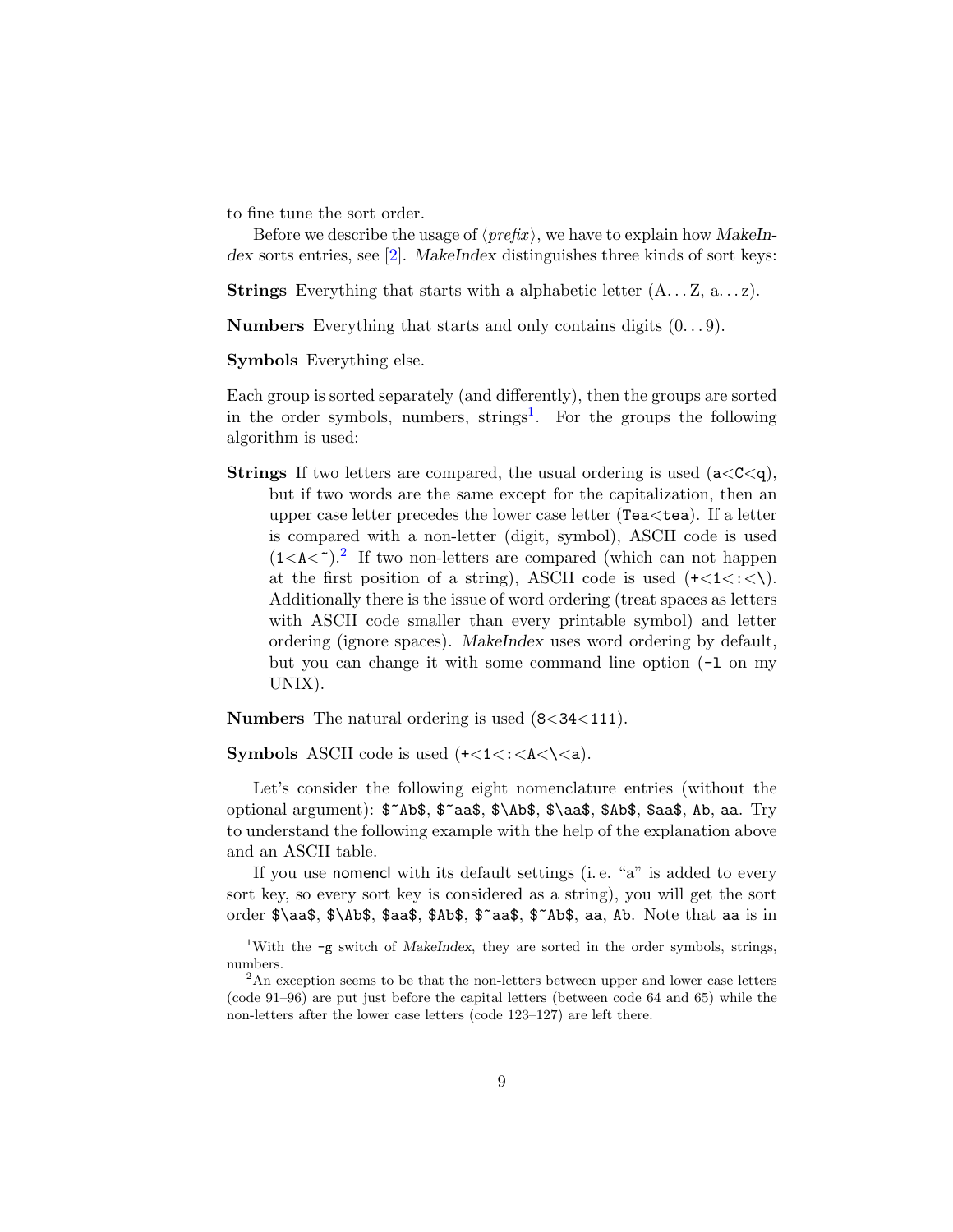to fine tune the sort order.

Before we describe the usage of  $\langle prefix \rangle$ , we have to explain how MakeIn-dex sorts entries, see [\[2\]](#page-30-2). MakeIndex distinguishes three kinds of sort keys:

**Strings** Everything that starts with a alphabetic letter  $(A \dots Z, a \dots z)$ .

**Numbers** Everything that starts and only contains digits  $(0...9)$ .

Symbols Everything else.

Each group is sorted separately (and differently), then the groups are sorted in the order symbols, numbers, strings<sup>[1](#page-8-0)</sup>. For the groups the following algorithm is used:

**Strings** If two letters are compared, the usual ordering is used  $(a < C < q)$ , but if two words are the same except for the capitalization, then an upper case letter precedes the lower case letter (Tea<tea). If a letter is compared with a non-letter (digit, symbol), ASCII code is used  $(1< A<sup>2</sup>)$  $(1< A<sup>2</sup>)$  $(1< A<sup>2</sup>)$ .<sup>2</sup> If two non-letters are compared (which can not happen at the first position of a string), ASCII code is used  $(+<1<\;,<\;)\$ . Additionally there is the issue of word ordering (treat spaces as letters with ASCII code smaller than every printable symbol) and letter ordering (ignore spaces). MakeIndex uses word ordering by default, but you can change it with some command line option (-l on my UNIX).

Numbers The natural ordering is used (8<34<111).

**Symbols** ASCII code is used  $(+<1<\;;$ 

Let's consider the following eight nomenclature entries (without the optional argument): \$~Ab\$, \$~aa\$, \$\Ab\$, \$\aa\$, \$Ab\$, \$aa\$, Ab, aa. Try to understand the following example with the help of the explanation above and an ASCII table.

If you use nomencl with its default settings (i. e. "a" is added to every sort key, so every sort key is considered as a string), you will get the sort order \$\aa\$, \$\Ab\$, \$aa\$, \$Ab\$, \$~aa\$, \$~Ab\$, aa, Ab. Note that aa is in

<span id="page-8-0"></span><sup>&</sup>lt;sup>1</sup>With the  $-g$  switch of MakeIndex, they are sorted in the order symbols, strings, numbers.

<span id="page-8-1"></span><sup>&</sup>lt;sup>2</sup>An exception seems to be that the non-letters between upper and lower case letters (code 91–96) are put just before the capital letters (between code 64 and 65) while the non-letters after the lower case letters (code 123–127) are left there.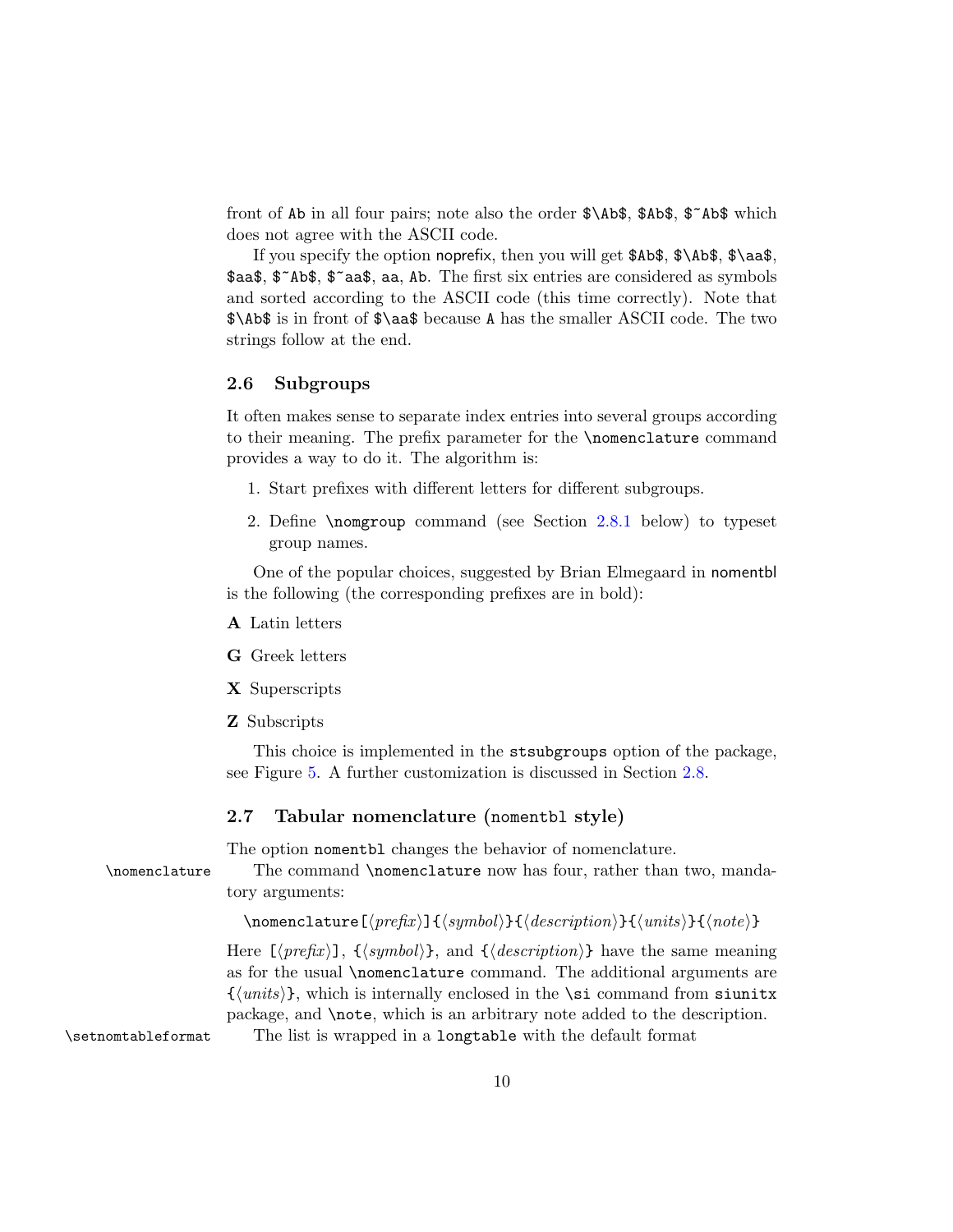front of Ab in all four pairs; note also the order \$\Ab\$, \$Ab\$, \$~Ab\$ which does not agree with the ASCII code.

If you specify the option noprefix, then you will get  $\Delta$ \$Ab\$,  $\lambda$ \Ab\$,  $\lambda$ \aa\$, \$aa\$, \$~Ab\$, \$~aa\$, aa, Ab. The first six entries are considered as symbols and sorted according to the ASCII code (this time correctly). Note that \$\Ab\$ is in front of \$\aa\$ because A has the smaller ASCII code. The two strings follow at the end.

#### <span id="page-9-0"></span>2.6 Subgroups

It often makes sense to separate index entries into several groups according to their meaning. The prefix parameter for the \nomenclature command provides a way to do it. The algorithm is:

- 1. Start prefixes with different letters for different subgroups.
- 2. Define \nomgroup command (see Section [2.8.1](#page-11-1) below) to typeset group names.

One of the popular choices, suggested by Brian Elmegaard in nomentbl is the following (the corresponding prefixes are in bold):

- A Latin letters
- G Greek letters
- X Superscripts
- Z Subscripts

This choice is implemented in the stsubgroups option of the package, see Figure [5.](#page-10-0) A further customization is discussed in Section [2.8.](#page-11-0)

#### <span id="page-9-1"></span>2.7 Tabular nomenclature (nomentbl style)

The option nomentbl changes the behavior of nomenclature.

\nomenclature The command \nomenclature now has four, rather than two, mandatory arguments:

```
\mbox{nonenclature}[\langle prefix \rangle]{\langle symbol \rangle}{\langle description \rangle}{\langle units \rangle}{\langle note \rangle}
```
Here  $[\langle prefix \rangle]$ ,  $\{\langle symbol \rangle\}$ , and  $\{\langle description \rangle\}$  have the same meaning as for the usual \nomenclature command. The additional arguments are  $\{\langle units \rangle\}$ , which is internally enclosed in the \si command from siunitx package, and \note, which is an arbitrary note added to the description.

\setnomtableformat The list is wrapped in a longtable with the default format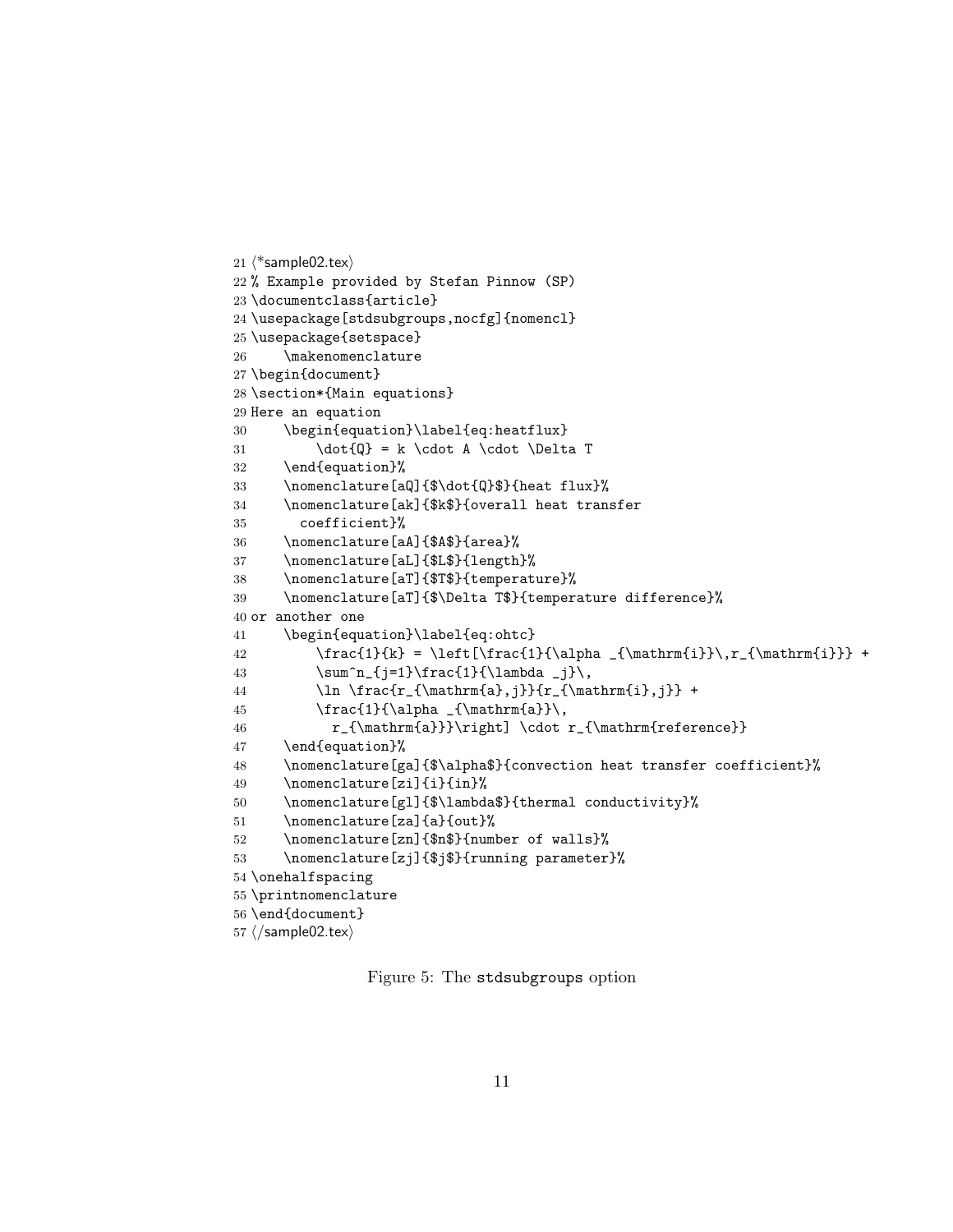```
21 \langle*sample02.tex\rangle22 % Example provided by Stefan Pinnow (SP)
23 \documentclass{article}
24 \usepackage[stdsubgroups,nocfg]{nomencl}
25 \usepackage{setspace}
26 \makenomenclature
27 \begin{document}
28 \section*{Main equations}
29 Here an equation
30 \begin{equation}\label{eq:heatflux}
31 \dot{Q} = k \cdot A \cdot \Delta T32 \end{equation}%
33 \nomenclature[aQ]{$\dot{Q}$}{heat flux}%
34 \nomenclature[ak]{$k$}{overall heat transfer
35 coefficient}%
36 \nomenclature[aA]{$A$}{area}%
37 \nomenclature[aL]{$L$}{length}%
38 \nomenclature[aT]{$T$}{temperature}%
39 \nomenclature[aT]{$\Delta T$}{temperature difference}%
40 or another one
41 \begin{equation}\label{eq:ohtc}
42 \frac{1}{k} = \left[\frac{1}{\alpha _{\mathrm{i}}\,r_{\mathrm{i}}} +
43 \sum^n_{j=1}\frac{1}{\lambda _j}\,
44 \ln \frac{r_{\mathrm{a},j}}{r_{\mathrm{i},j}} +
45 \frac{1}{\alpha _{\mathrm{a}}\,
46 r_{\mathrm{a}}}\right] \cdot r_{\mathrm{reference}}
47 \end{equation}%
48 \nomenclature[ga]{$\alpha$}{convection heat transfer coefficient}%
49 \nomenclature[zi]{i}{in}%
50 \nomenclature[gl]{$\lambda$}{thermal conductivity}%
51 \nomenclature[za]{a}{out}%
52 \nomenclature[zn]{$n$}{number of walls}%
53 \nomenclature[zj]{$j$}{running parameter}%
54 \onehalfspacing
55 \printnomenclature
56 \end{document}
57 ⟨/sample02.tex⟩
```
<span id="page-10-0"></span>Figure 5: The stdsubgroups option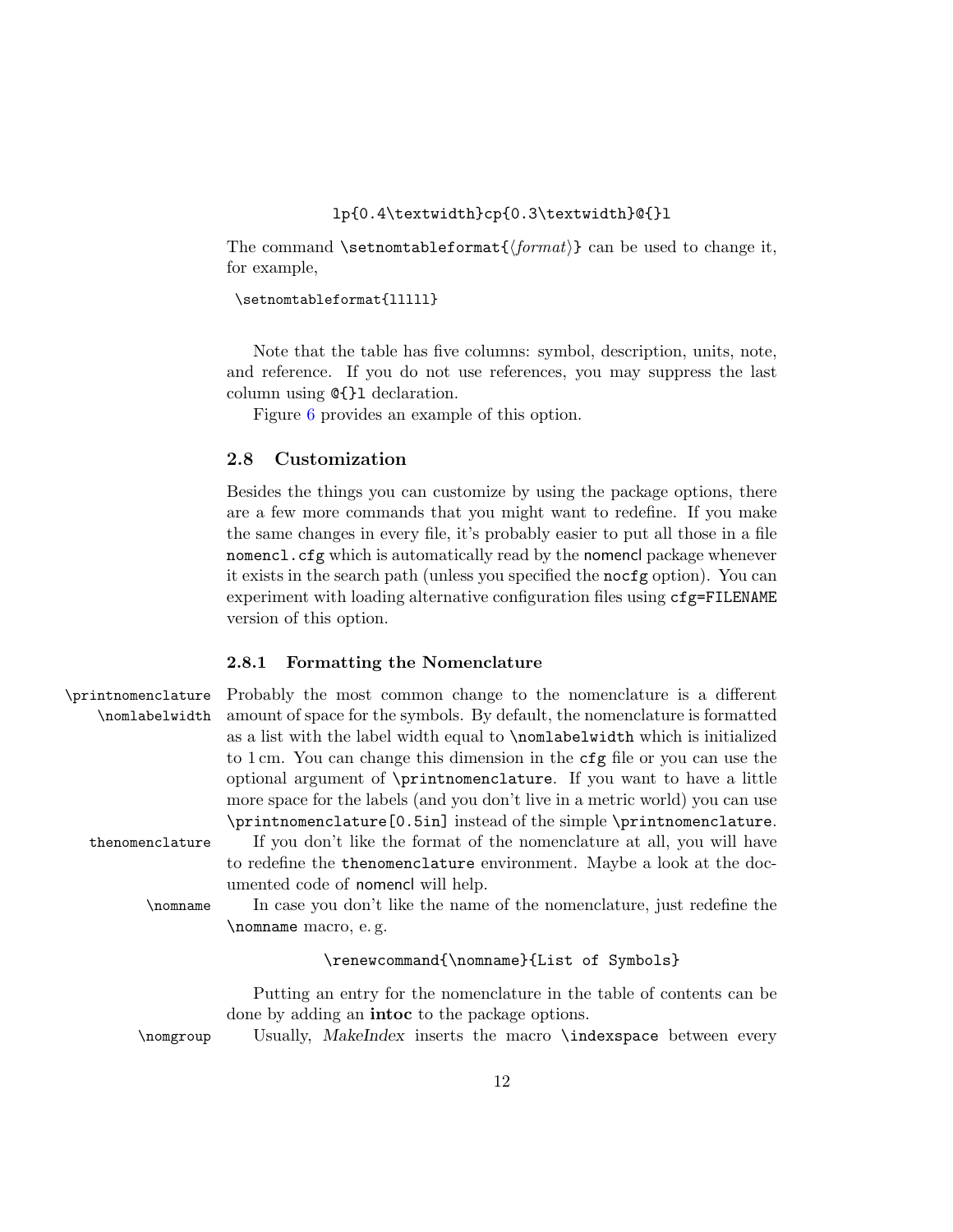#### lp{0.4\textwidth}cp{0.3\textwidth}@{}l

<span id="page-11-2"></span>The command \setnomtableformat ${\langle format \rangle}$  can be used to change it, for example,

#### \setnomtableformat{lllll}

Note that the table has five columns: symbol, description, units, note, and reference. If you do not use references, you may suppress the last column using @{}l declaration.

Figure [6](#page-12-0) provides an example of this option.

#### <span id="page-11-0"></span>2.8 Customization

Besides the things you can customize by using the package options, there are a few more commands that you might want to redefine. If you make the same changes in every file, it's probably easier to put all those in a file nomencl.cfg which is automatically read by the nomencl package whenever it exists in the search path (unless you specified the nocfg option). You can experiment with loading alternative configuration files using cfg=FILENAME version of this option.

#### <span id="page-11-3"></span><span id="page-11-1"></span>2.8.1 Formatting the Nomenclature

| \printnomenclature | Probably the most common change to the nomenclature is a different                 |
|--------------------|------------------------------------------------------------------------------------|
| \nomlabelwidth     | amount of space for the symbols. By default, the nomenclature is formatted         |
|                    | as a list with the label width equal to <b>\nomlabelwidth</b> which is initialized |
|                    | to 1 cm. You can change this dimension in the cfg file or you can use the          |
|                    | optional argument of \printnomenclature. If you want to have a little              |
|                    | more space for the labels (and you don't live in a metric world) you can use       |
|                    | \printnomenclature [0.5in] instead of the simple \printnomenclature.               |
| thenomenclature    | If you don't like the format of the nomenclature at all, you will have             |
|                    | to redefine the thenomenclature environment. Maybe a look at the doc-              |
|                    | umented code of nomencl will help.                                                 |
| \nomname           | In case you don't like the name of the nomenclature, just redefine the             |
|                    | \nomname macro, e.g.                                                               |
|                    | \renewcommand{\nomname}{List of Symbols}                                           |
|                    | Putting an entry for the nomenclature in the table of contents can be              |
|                    | done by adding an <b>intoc</b> to the package options.                             |
| \nomgroup          | Usually, MakeIndex inserts the macro \indexspace between every                     |
|                    |                                                                                    |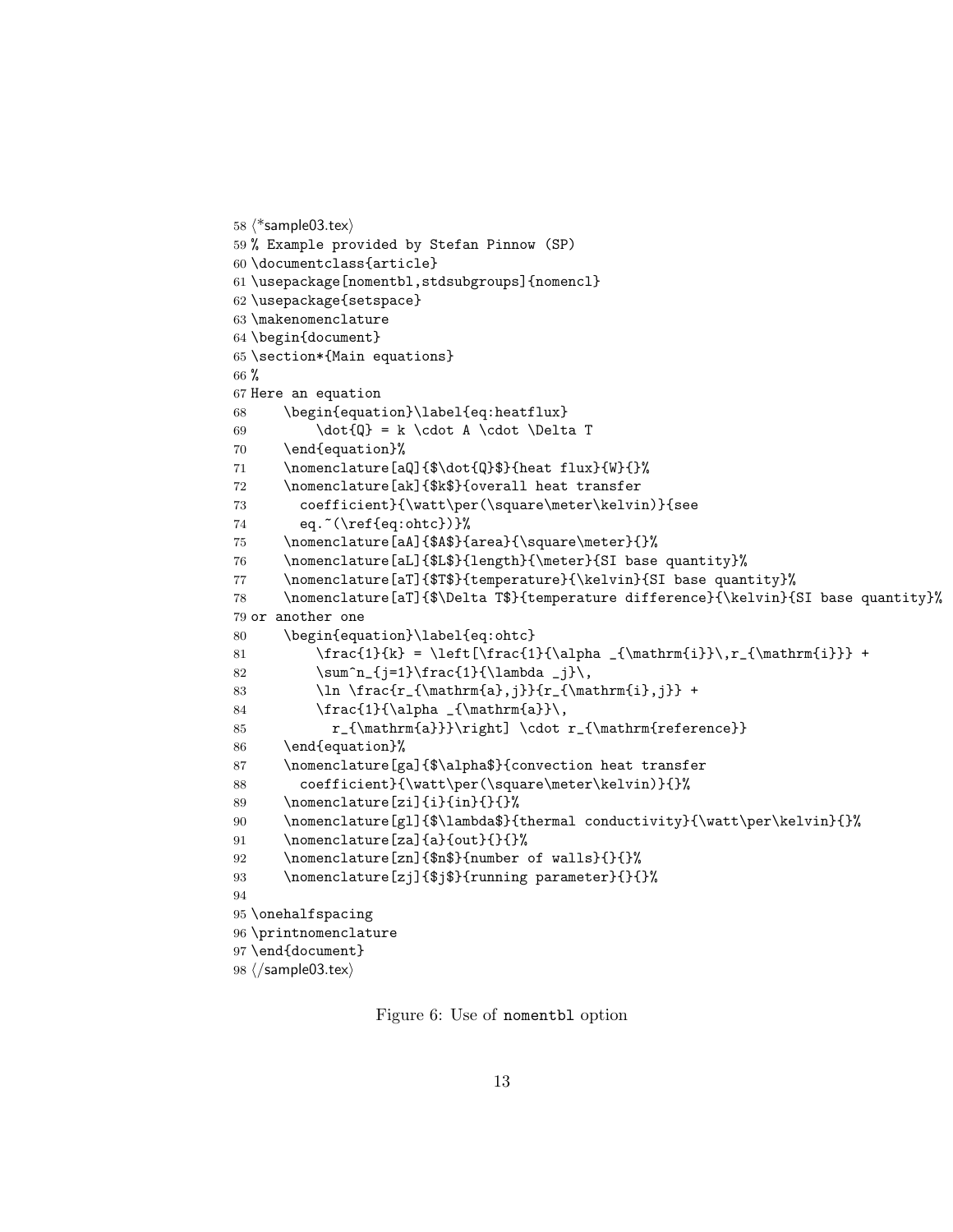```
58 ⟨*sample03.tex⟩
59 % Example provided by Stefan Pinnow (SP)
60 \documentclass{article}
61 \usepackage[nomentbl,stdsubgroups]{nomencl}
62 \usepackage{setspace}
63 \makenomenclature
64 \begin{document}
65 \section*{Main equations}
66 %
67 Here an equation
68 \begin{equation}\label{eq:heatflux}
69 \dot{Q} = k \cdot A \cdot \Delta T70 \end{equation}%
71 \nomenclature[aQ]{$\dot{Q}$}{heat flux}{W}{}%
72 \nomenclature[ak]{$k$}{overall heat transfer
73 coefficient}{\watt\per(\square\meter\kelvin)}{see
74 eq. \text{eq.}^{\ref{eq:ohtc}}75 \nomenclature[aA]{$A$}{area}{\square\meter}{}%
76 \nomenclature[aL]{$L$}{length}{\meter}{SI base quantity}%
77 \nomenclature[aT]{$T$}{temperature}{\kelvin}{SI base quantity}%
78 \nomenclature[aT]{$\Delta T$}{temperature difference}{\kelvin}{SI base quantity}%
79 or another one
80 \begin{equation}\label{eq:ohtc}
81 \frac{1}{k} = \left[\frac{1}{\alpha _{\mathrm{i}}\,r_{\mathrm{i}}} +
82 \sum^n_{j=1}\frac{1}{\lambda _j}\,
83 \ln \frac{r_{\mathrm{a},j}}{r_{\mathrm{i},j}} +
84 \frac{1}{\alpha _{\mathrm{a}}\,
85 r_{\mathrm{a}}}\right] \cdot r_{\mathrm{reference}}
86 \end{equation}%
87 \nomenclature[ga]{$\alpha$}{convection heat transfer
88 coefficient}{\watt\per(\square\meter\kelvin)}{}%
89 \nomenclature[zi]{i}{in}{}{}%
90 \nomenclature[gl]{$\lambda$}{thermal conductivity}{\watt\per\kelvin}{}%
91 \nomenclature[za]{a}{out}{}{}%
92 \nomenclature[zn]{$n$}{number of walls}{}{}%
93 \nomenclature[zj]{$j$}{running parameter}{}{}%
94
95 \onehalfspacing
96 \printnomenclature
97 \end{document}
98 ⟨/sample03.tex⟩
```
<span id="page-12-0"></span>Figure 6: Use of nomentbl option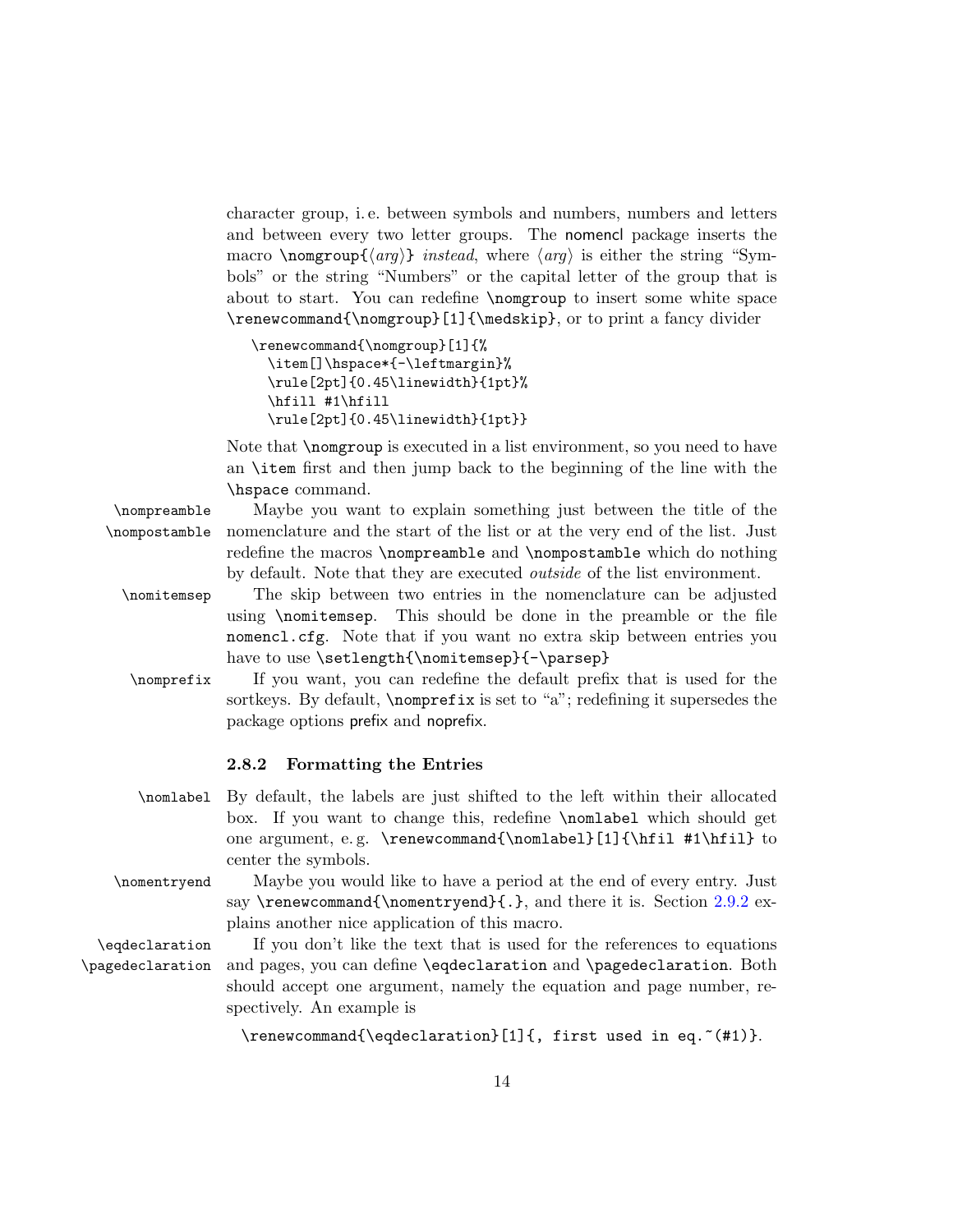character group, i. e. between symbols and numbers, numbers and letters and between every two letter groups. The nomencl package inserts the macro \nomgroup{ $\langle arg \rangle$ } instead, where  $\langle arg \rangle$  is either the string "Symbols" or the string "Numbers" or the capital letter of the group that is about to start. You can redefine \nomgroup to insert some white space \renewcommand{\nomgroup}[1]{\medskip}, or to print a fancy divider

```
\renewcommand{\nomgroup}[1]{%
 \item[]\hspace*{-\leftmargin}%
 \rule[2pt]{0.45\linewidth}{1pt}%
  \hfill #1\hfill
 \rule[2pt]{0.45\linewidth}{1pt}}
```
Note that \nomgroup is executed in a list environment, so you need to have an \item first and then jump back to the beginning of the line with the \hspace command.

\nompreamble Maybe you want to explain something just between the title of the \nompostamble nomenclature and the start of the list or at the very end of the list. Just redefine the macros \nompreamble and \nompostamble which do nothing by default. Note that they are executed outside of the list environment. \nomitemsep The skip between two entries in the nomenclature can be adjusted using \nomitemsep. This should be done in the preamble or the file nomencl.cfg. Note that if you want no extra skip between entries you have to use \setlength{\nomitemsep}{-\parsep} \nomprefix If you want, you can redefine the default prefix that is used for the sortkeys. By default, \nomprefix is set to "a"; redefining it supersedes the package options prefix and noprefix.

#### <span id="page-13-0"></span>2.8.2 Formatting the Entries

- \nomlabel By default, the labels are just shifted to the left within their allocated box. If you want to change this, redefine \nomlabel which should get one argument, e. g. \renewcommand{\nomlabel}[1]{\hfil #1\hfil} to center the symbols.
- \nomentryend Maybe you would like to have a period at the end of every entry. Just say  $\renewcommand{\nonper}{}s$ , and there it is. Section [2.9.2](#page-14-2) explains another nice application of this macro.

\eqdeclaration If you don't like the text that is used for the references to equations \pagedeclaration and pages, you can define \eqdeclaration and \pagedeclaration. Both should accept one argument, namely the equation and page number, respectively. An example is

\renewcommand{\eqdeclaration}[1]{, first used in eq. "(#1)}.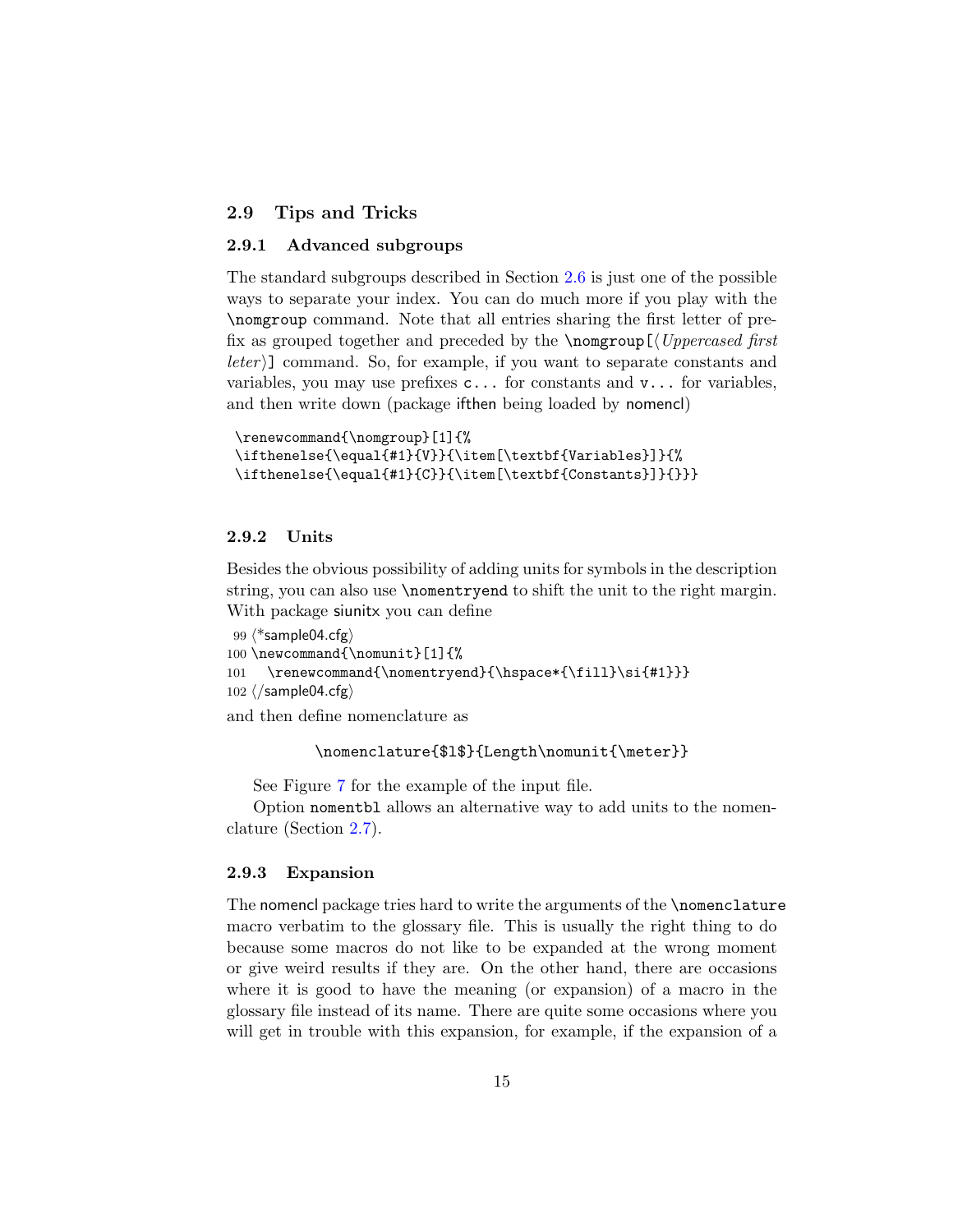#### <span id="page-14-4"></span><span id="page-14-0"></span>2.9 Tips and Tricks

#### <span id="page-14-1"></span>2.9.1 Advanced subgroups

The standard subgroups described in Section [2.6](#page-9-0) is just one of the possible ways to separate your index. You can do much more if you play with the \nomgroup command. Note that all entries sharing the first letter of prefix as grouped together and preceded by the  $\Omega(\Upsilon)$  $\lceil \text{eter} \rangle$  command. So, for example, if you want to separate constants and variables, you may use prefixes  $c...$  for constants and  $v...$  for variables, and then write down (package ifthen being loaded by nomencl)

```
\renewcommand{\nomgroup}[1]{%
\ifthenelse{\equal{#1}{V}}{\item[\textbf{Variables}]}{%
\ifthenelse{\equal{#1}{C}}{\item[\textbf{Constants}]}{}}}
```
#### <span id="page-14-2"></span>2.9.2 Units

Besides the obvious possibility of adding units for symbols in the description string, you can also use \nomentryend to shift the unit to the right margin. With package siunitx you can define

```
99 ⟨*sample04.cfg⟩
100 \newcommand{\nomunit}[1]{%
101 \renewcommand{\nomentryend}{\hspace*{\fill}\si{#1}}}
102 ⟨/sample04.cfg⟩
```
and then define nomenclature as

```
\nomenclature{$l$}{Length\nomunit{\meter}}
```
See Figure [7](#page-15-0) for the example of the input file.

Option nomentbl allows an alternative way to add units to the nomenclature (Section [2.7\)](#page-9-1).

#### <span id="page-14-3"></span>2.9.3 Expansion

The nomencl package tries hard to write the arguments of the \nomenclature macro verbatim to the glossary file. This is usually the right thing to do because some macros do not like to be expanded at the wrong moment or give weird results if they are. On the other hand, there are occasions where it is good to have the meaning (or expansion) of a macro in the glossary file instead of its name. There are quite some occasions where you will get in trouble with this expansion, for example, if the expansion of a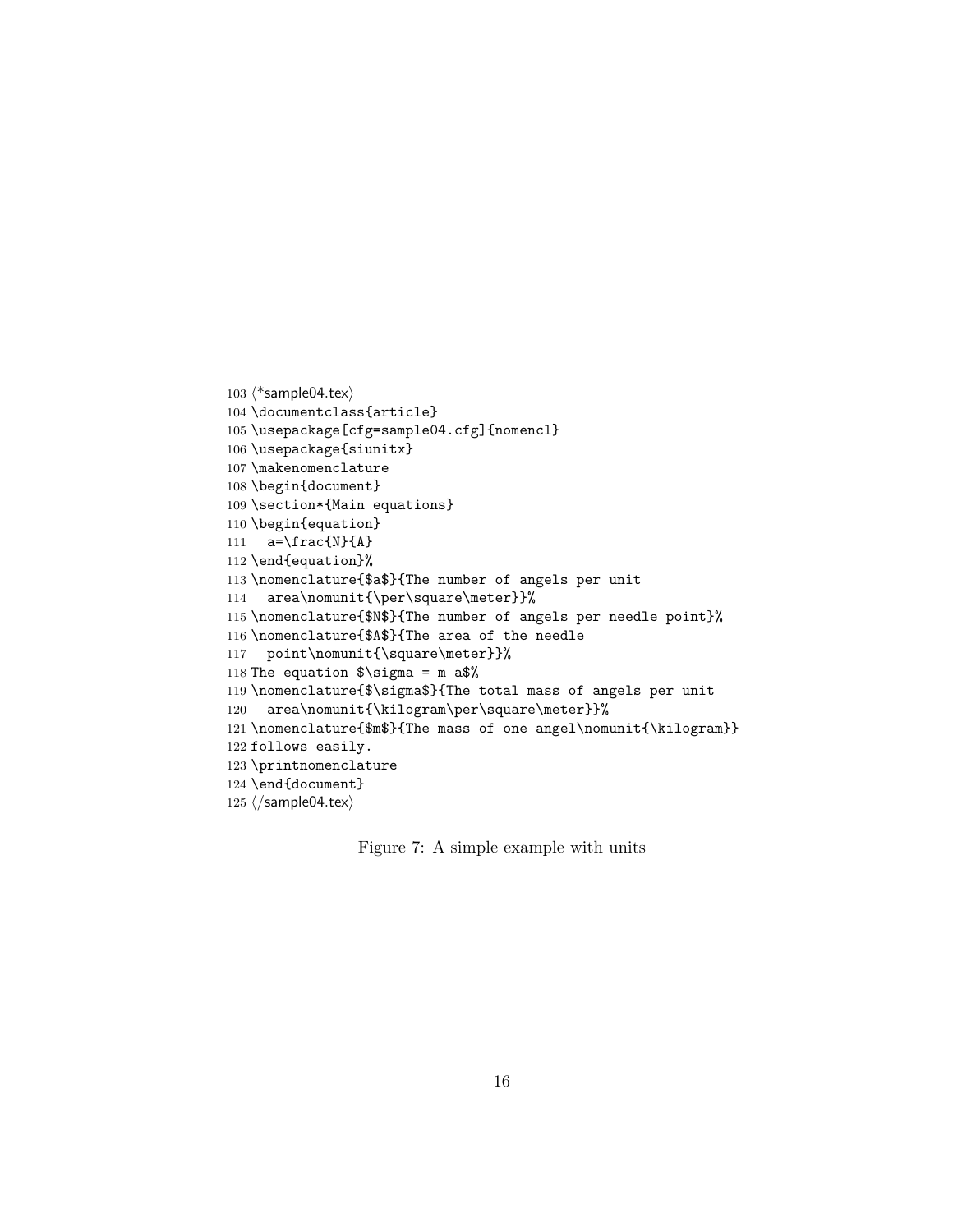```
103 \langle*sample04.tex\rangle104 \documentclass{article}
105 \usepackage[cfg=sample04.cfg]{nomencl}
106 \usepackage{siunitx}
107 \makenomenclature
108 \begin{document}
109 \section*{Main equations}
110 \begin{equation}
111 a=\frac{N}{A}112 \end{equation}%
113 \nomenclature{$a$}{The number of angels per unit
114 area\nomunit{\per\square\meter}}%
115 \nomenclature{$N$}{The number of angels per needle point}%
116 \nomenclature{$A$}{The area of the needle
117 point\nomunit{\square\meter}}%
118 The equation \sigma = m a$%
119 \nomenclature{$\sigma$}{The total mass of angels per unit
120 area\nomunit{\kilogram\per\square\meter}}%
121 \nomenclature{$m$}{The mass of one angel\nomunit{\kilogram}}
122 follows easily.
123 \printnomenclature
124 \end{document}
125 \langle/sample04.tex\rangle
```
<span id="page-15-0"></span>Figure 7: A simple example with units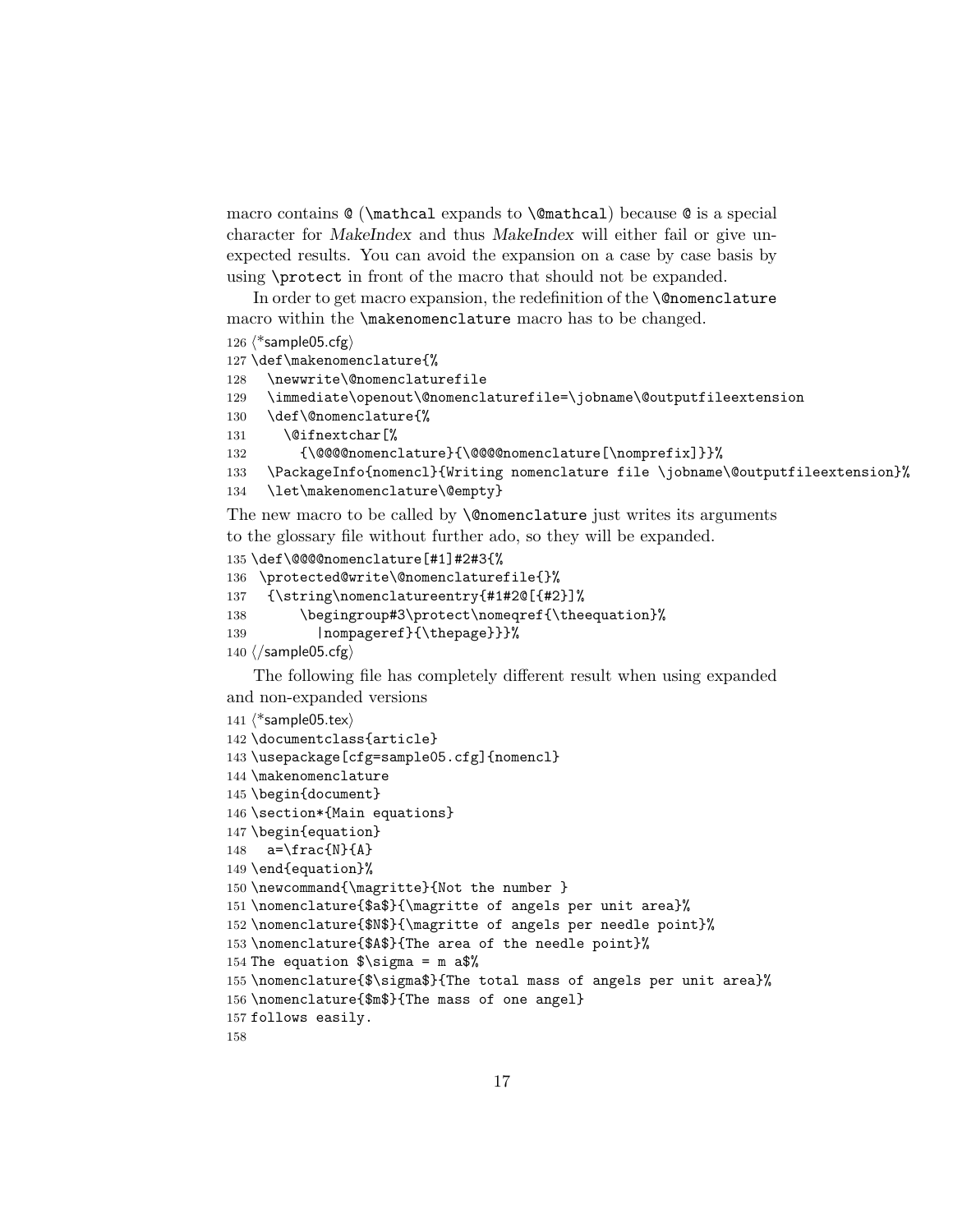macro contains  $\mathbb{Q}$  (\mathcal expands to \@mathcal) because  $\mathbb{Q}$  is a special character for MakeIndex and thus MakeIndex will either fail or give unexpected results. You can avoid the expansion on a case by case basis by using \protect in front of the macro that should not be expanded.

In order to get macro expansion, the redefinition of the **\@nomenclature** macro within the \makenomenclature macro has to be changed.

```
126 \langle*sample05.cfg\rangle
```

```
127 \def\makenomenclature{%
```

```
128 \newwrite\@nomenclaturefile
```

```
129 \immediate\openout\@nomenclaturefile=\jobname\@outputfileextension
```

```
130 \def\@nomenclature{%
```

```
131 \@ifnextchar[%
```

```
132 {\@@@@nomenclature}{\@@@@nomenclature[\nomprefix]}}%
```

```
133 \PackageInfo{nomencl}{Writing nomenclature file \jobname\@outputfileextension}%
```

```
134 \let\makenomenclature\@empty}
```
The new macro to be called by **\@nomenclature** just writes its arguments to the glossary file without further ado, so they will be expanded.

```
135 \def\@@@@nomenclature[#1]#2#3{%
```

```
136 \protected@write\@nomenclaturefile{}%
```

```
137 {\string\nomenclatureentry{#1#2@[{#2}]%
```

```
138 \begingroup#3\protect\nomeqref{\theequation}%
```

```
139 | nompageref}{\thepage}}}%
```

```
140 \langle/sample05.cfg\rangle
```
The following file has completely different result when using expanded and non-expanded versions

```
141 \langle*sample05.tex\rangle142 \documentclass{article}
143 \usepackage[cfg=sample05.cfg]{nomencl}
144 \makenomenclature
145 \begin{document}
146 \section*{Main equations}
147 \begin{equation}
148 a=\frac{N}{A}149 \end{equation}%
150 \newcommand{\magritte}{Not the number }
151 \nomenclature{$a$}{\magritte of angels per unit area}%
152 \nomenclature{$N$}{\magritte of angels per needle point}%
153 \nomenclature{$A$}{The area of the needle point}%
154 The equation \sigma = m a.
155 \nomenclature{$\sigma$}{The total mass of angels per unit area}%
156 \nomenclature{$m$}{The mass of one angel}
157 follows easily.
158
```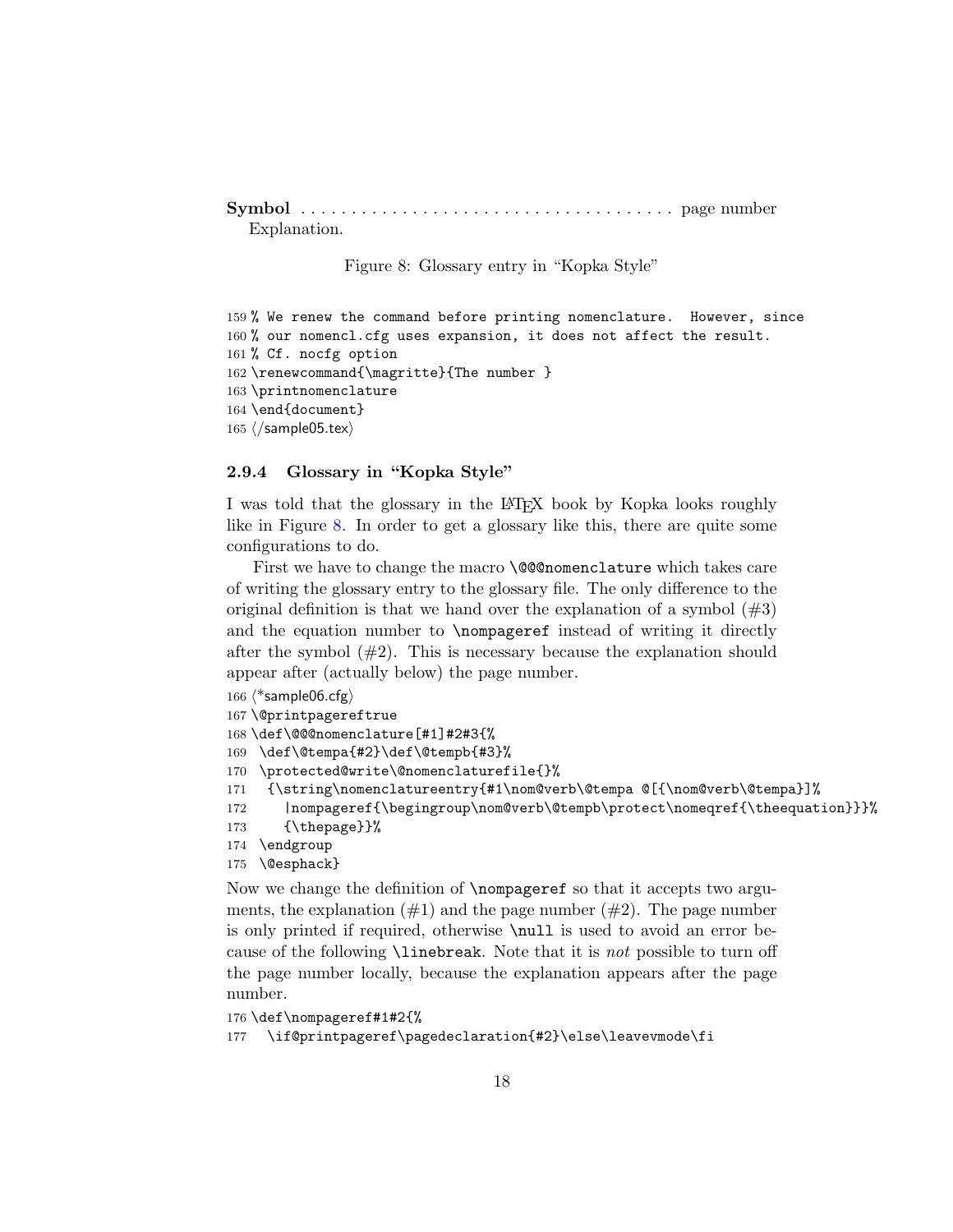```
Symbol . . . . . . . . . . . . . . . . . . . . . . . . . . . . . . . . . . . . . page number
   Explanation.
```
<span id="page-17-1"></span>Figure 8: Glossary entry in "Kopka Style"

```
159 % We renew the command before printing nomenclature. However, since
160 % our nomencl.cfg uses expansion, it does not affect the result.
161 % Cf. nocfg option
162 \renewcommand{\magritte}{The number }
163 \printnomenclature
164 \end{document}
165 \langle/sample05.tex)
```
#### <span id="page-17-0"></span>2.9.4 Glossary in "Kopka Style"

I was told that the glossary in the LAT<sub>EX</sub> book by Kopka looks roughly like in Figure [8.](#page-17-1) In order to get a glossary like this, there are quite some configurations to do.

First we have to change the macro **\@@nomenclature** which takes care of writing the glossary entry to the glossary file. The only difference to the original definition is that we hand over the explanation of a symbol  $(\#3)$ and the equation number to \nompageref instead of writing it directly after the symbol  $(\#2)$ . This is necessary because the explanation should appear after (actually below) the page number.

```
166 \langle*sample06.cfg\rangle167 \@printpagereftrue
168 \def\@@@nomenclature[#1]#2#3{%
169 \def\@tempa{#2}\def\@tempb{#3}%
170 \protected@write\@nomenclaturefile{}%
171 {\string\nomenclatureentry{#1\nom@verb\@tempa @[{\nom@verb\@tempa}]%
172 |nompageref{\begingroup\nom@verb\@tempb\protect\nomeqref{\theequation}}}%
173 {\thepage}}%
174 \endgroup
175 \@esphack}
```
Now we change the definition of \nompageref so that it accepts two arguments, the explanation  $(\#1)$  and the page number  $(\#2)$ . The page number is only printed if required, otherwise \null is used to avoid an error because of the following \linebreak. Note that it is not possible to turn off the page number locally, because the explanation appears after the page number.

```
176 \def\nompageref#1#2{%
177 \if@printpageref\pagedeclaration{#2}\else\leavevmode\fi
```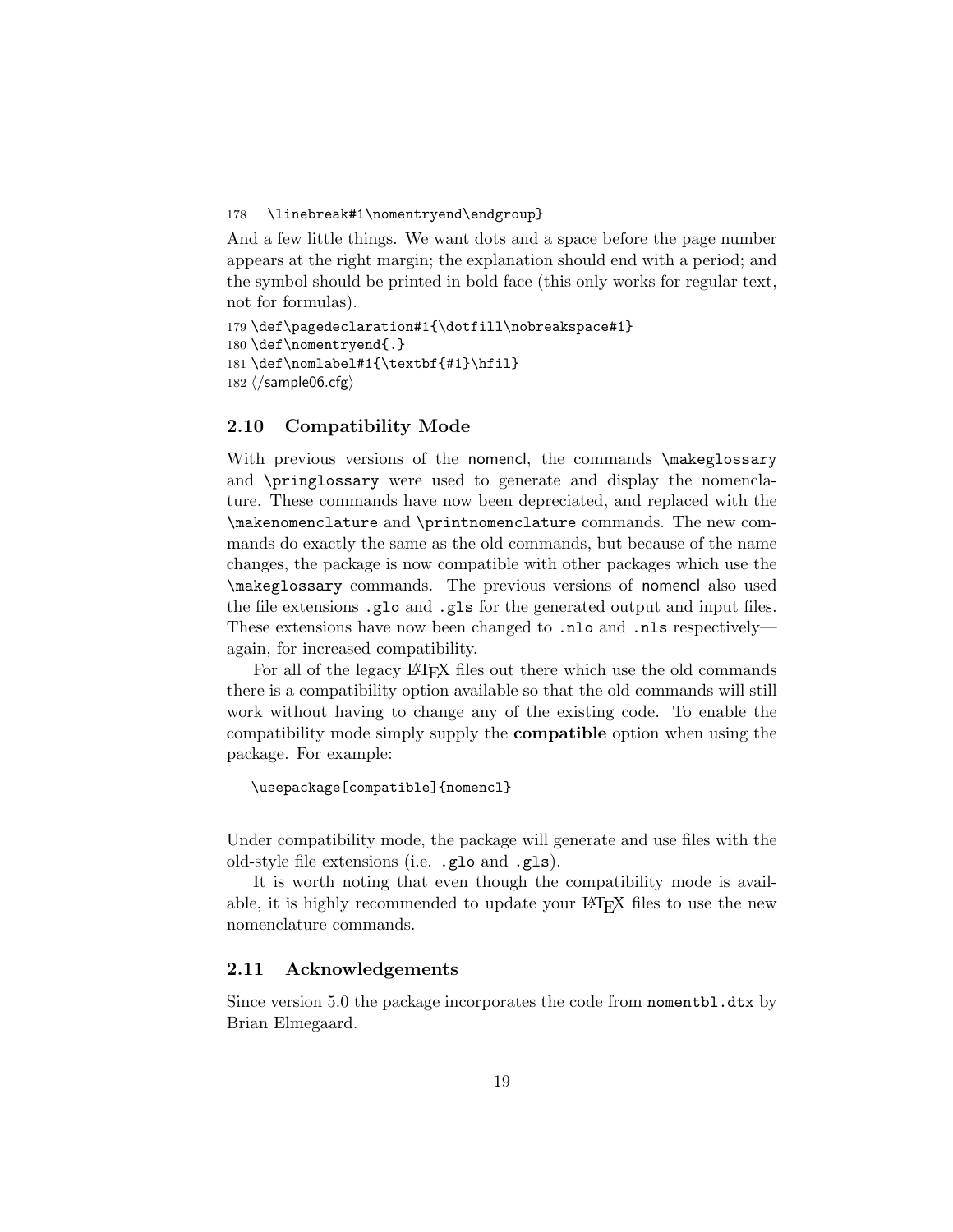#### 178 \linebreak#1\nomentryend\endgroup}

And a few little things. We want dots and a space before the page number appears at the right margin; the explanation should end with a period; and the symbol should be printed in bold face (this only works for regular text, not for formulas).

```
179 \def\pagedeclaration#1{\dotfill\nobreakspace#1}
180 \def\nomentryend{.}
181 \def\nomlabel#1{\textbf{#1}\hfil}
182 ⟨/sample06.cfg⟩
```
#### <span id="page-18-0"></span>2.10 Compatibility Mode

With previous versions of the nomencl, the commands \makeglossary and \pringlossary were used to generate and display the nomenclature. These commands have now been depreciated, and replaced with the \makenomenclature and \printnomenclature commands. The new commands do exactly the same as the old commands, but because of the name changes, the package is now compatible with other packages which use the \makeglossary commands. The previous versions of nomencl also used the file extensions .glo and .gls for the generated output and input files. These extensions have now been changed to .nlo and .nls respectively again, for increased compatibility.

For all of the legacy LAT<sub>EX</sub> files out there which use the old commands there is a compatibility option available so that the old commands will still work without having to change any of the existing code. To enable the compatibility mode simply supply the compatible option when using the package. For example:

```
\usepackage[compatible]{nomencl}
```
Under compatibility mode, the package will generate and use files with the old-style file extensions (i.e. .glo and .gls).

It is worth noting that even though the compatibility mode is available, it is highly recommended to update your LATEX files to use the new nomenclature commands.

#### <span id="page-18-1"></span>2.11 Acknowledgements

Since version 5.0 the package incorporates the code from nomentbl.dtx by Brian Elmegaard.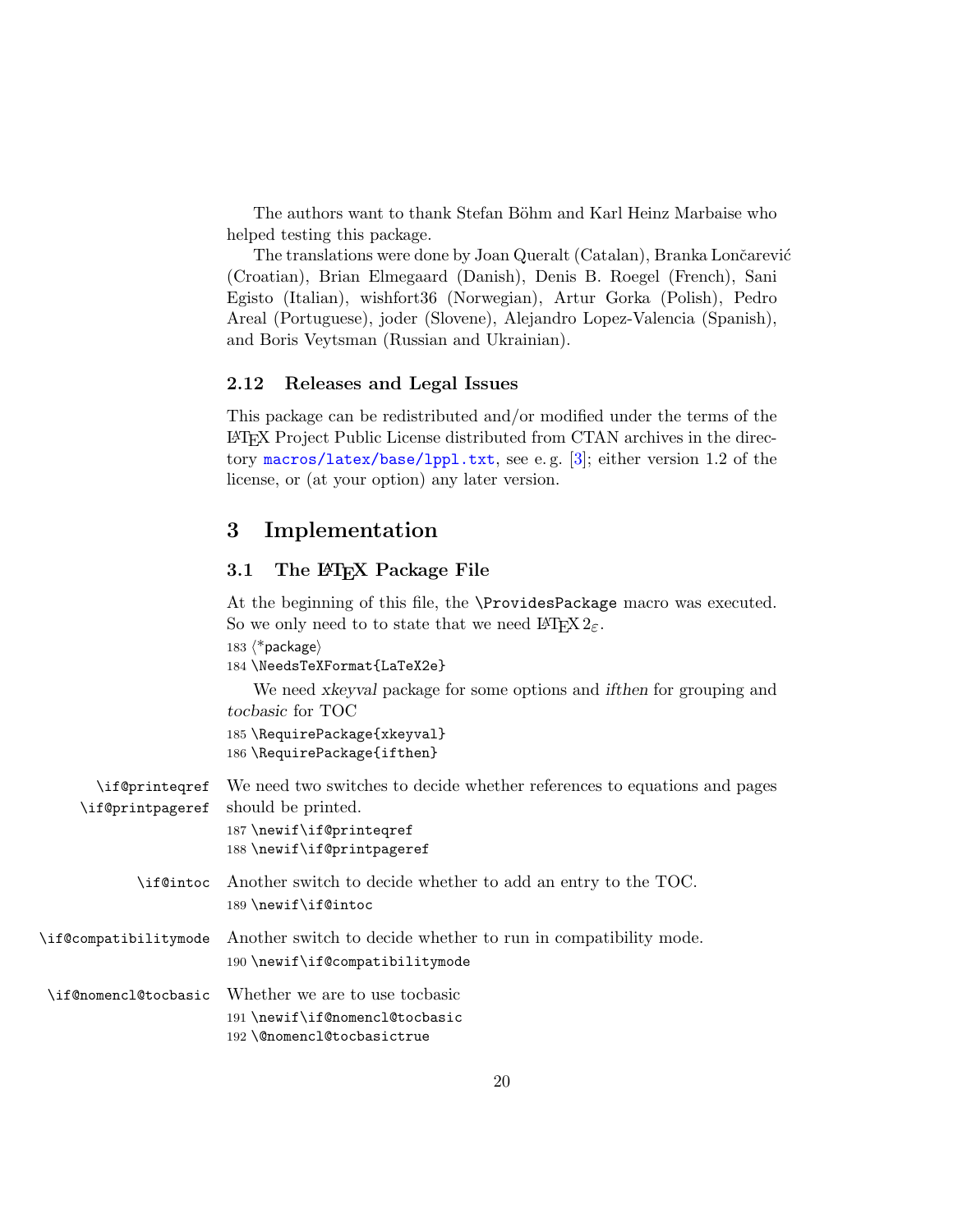<span id="page-19-3"></span>The authors want to thank Stefan Böhm and Karl Heinz Marbaise who helped testing this package.

The translations were done by Joan Queralt (Catalan), Branka Lončarević (Croatian), Brian Elmegaard (Danish), Denis B. Roegel (French), Sani Egisto (Italian), wishfort36 (Norwegian), Artur Gorka (Polish), Pedro Areal (Portuguese), joder (Slovene), Alejandro Lopez-Valencia (Spanish), and Boris Veytsman (Russian and Ukrainian).

#### <span id="page-19-0"></span>2.12 Releases and Legal Issues

This package can be redistributed and/or modified under the terms of the LATEX Project Public License distributed from CTAN archives in the directory <macros/latex/base/lppl.txt>, see e. g. [\[3\]](#page-30-3); either version 1.2 of the license, or (at your option) any later version.

## <span id="page-19-1"></span>3 Implementation

#### <span id="page-19-2"></span>3.1 The L<sup>AT</sup>EX Package File

At the beginning of this file, the \ProvidesPackage macro was executed. So we only need to to state that we need  $\text{LATEX } 2_{\varepsilon}$ .

183 ⟨\*package⟩

184 \NeedsTeXFormat{LaTeX2e}

We need xkeyval package for some options and ifthen for grouping and tocbasic for TOC 185 \RequirePackage{xkeyval}

186 \RequirePackage{ifthen}

<span id="page-19-8"></span><span id="page-19-7"></span><span id="page-19-6"></span><span id="page-19-5"></span><span id="page-19-4"></span>

| \if@printegref<br>\if@printpageref | We need two switches to decide whether references to equations and pages<br>should be printed.<br>187 \newif\if@printeqref |
|------------------------------------|----------------------------------------------------------------------------------------------------------------------------|
|                                    | 188 \newif\if@printpageref                                                                                                 |
| \if@intoc                          | Another switch to decide whether to add an entry to the TOC.<br>189 \newif\if@intoc                                        |
| \if@compatibilitymode              | Another switch to decide whether to run in compatibility mode.<br>190 \newif\if@compatibilitymode                          |
| \if@nomencl@tocbasic               | Whether we are to use to chasic<br>191 \newif\if@nomencl@tocbasic<br>192 \@nomencl@tocbasictrue                            |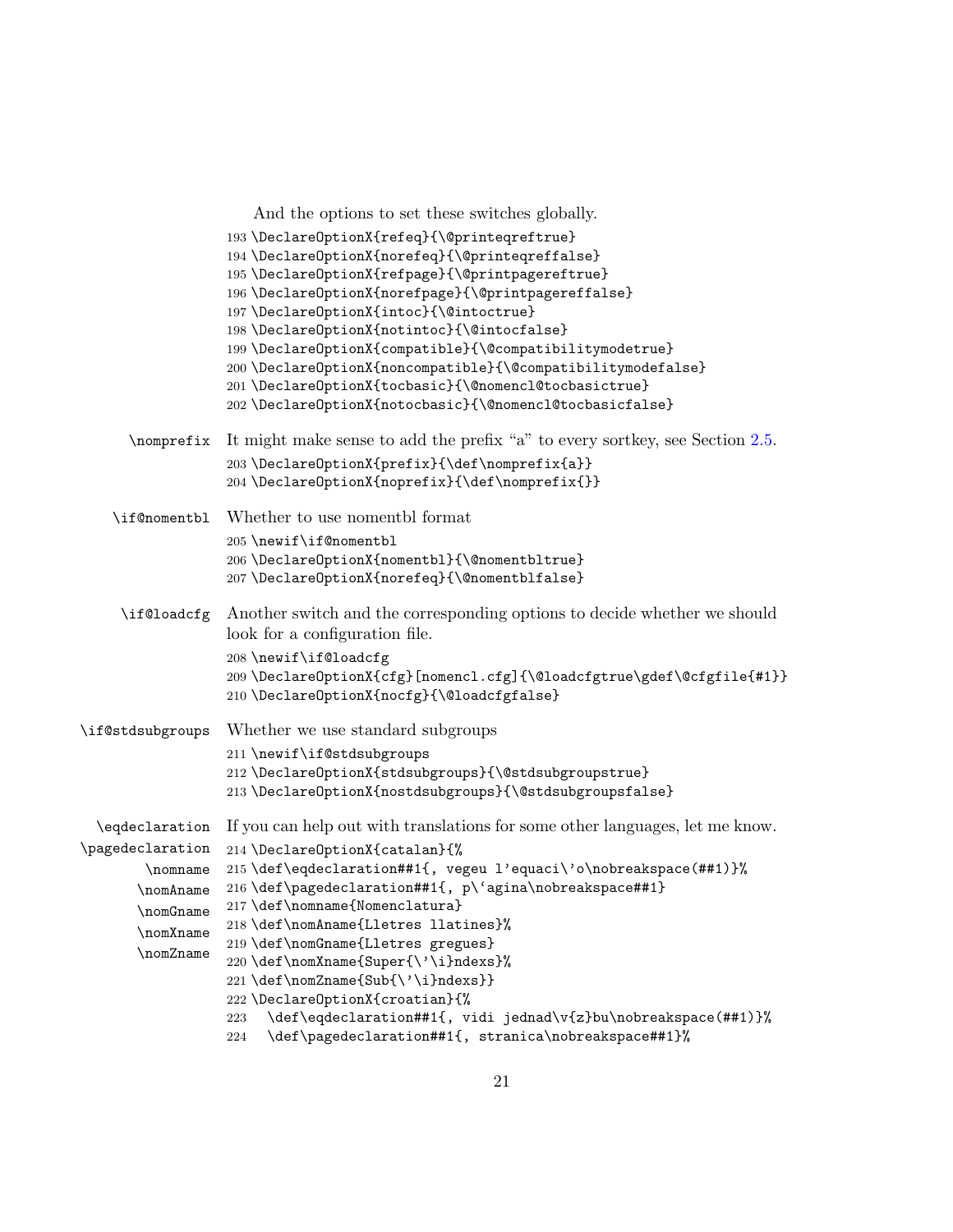```
And the options to set these switches globally.
                  193 \DeclareOptionX{refeq}{\@printeqreftrue}
                  194 \DeclareOptionX{norefeq}{\@printeqreffalse}
                  195 \DeclareOptionX{refpage}{\@printpagereftrue}
                  196 \DeclareOptionX{norefpage}{\@printpagereffalse}
                  197 \DeclareOptionX{intoc}{\@intoctrue}
                  198 \DeclareOptionX{notintoc}{\@intocfalse}
                  199 \DeclareOptionX{compatible}{\@compatibilitymodetrue}
                  200 \DeclareOptionX{noncompatible}{\@compatibilitymodefalse}
                  201 \DeclareOptionX{tocbasic}{\@nomencl@tocbasictrue}
                  202 \DeclareOptionX{notocbasic}{\@nomencl@tocbasicfalse}
      \nomprefix It might make sense to add the prefix "a" to every sortkey, see Section 2.5.
                  203\DeclareOptionX{prefix}{\def\nomprefix{a}}
                  204 \DeclareOptionX{noprefix}{\def\nomprefix{}}
    \if@nomentbl Whether to use nomentbl format
                  205 \newif\if@nomentbl
                  206 \DeclareOptionX{nomentbl}{\@nomentbltrue}
                  207 \DeclareOptionX{norefeq}{\@nomentblfalse}
     \if@loadcfg Another switch and the corresponding options to decide whether we should
                  look for a configuration file.
                  208 \newif\if@loadcfg
                  209 \DeclareOptionX{cfg}[nomencl.cfg]{\@loadcfgtrue\gdef\@cfgfile{#1}}
                  210 \DeclareOptionX{nocfg}{\@loadcfgfalse}
\if@stdsubgroups Whether we use standard subgroups
                  211 \newif\if@stdsubgroups
                  212 \DeclareOptionX{stdsubgroups}{\@stdsubgroupstrue}
                  213 \DeclareOptionX{nostdsubgroups}{\@stdsubgroupsfalse}
  \eqdeclaration
If you can help out with translations for some other languages, let me know.
\pagedeclaration
        \nomname
215 \def\eqdeclaration##1{, vegeu l'equaci\'o\nobreakspace(##1)}%
       \nomAname
216 \def\pagedeclaration##1{, p\'agina\nobreakspace##1}
       \nomGname 217 \def\nomname{Nomenclatura}
       \nomXname
       \nomZname
                  214 \DeclareOptionX{catalan}{%
                  218 \def\nomAname{Lletres llatines}%
                  219 \def\nomGname{Lletres gregues}
                  220 \def\nomXname{Super{\'\i}ndexs}%
                  221 \def\nomZname{Sub{\'\i}ndexs}}
                  222 \DeclareOptionX{croatian}{%
                  223 \def\eqdeclaration##1{, vidi jednad\v{z}bu\nobreakspace(##1)}%
                  224 \def\pagedeclaration##1{, stranica\nobreakspace##1}%
```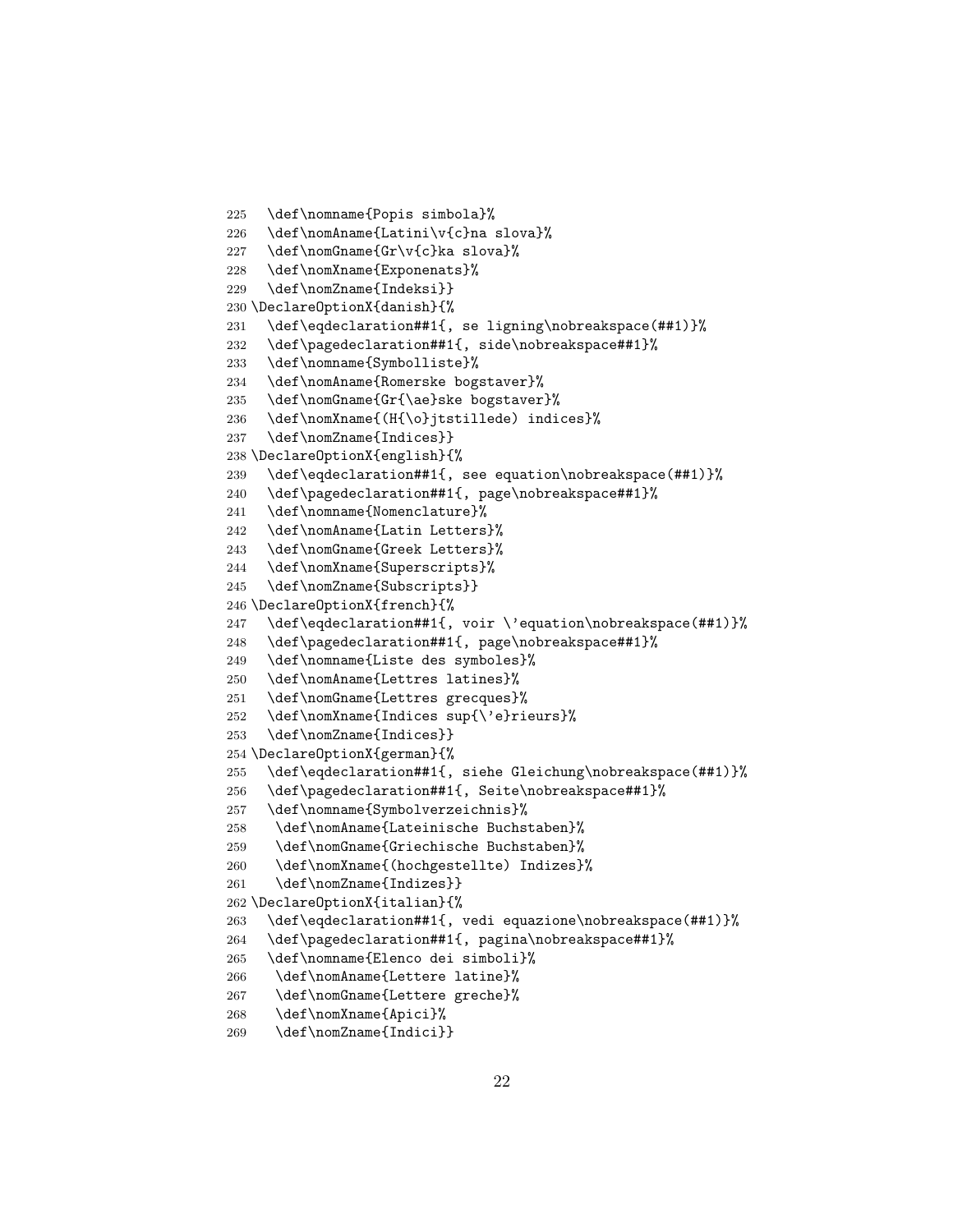```
225 \def\nomname{Popis simbola}%
226 \def\nomAname{Latini\v{c}na slova}%
227 \def\nomGname{Gr\v{c}ka slova}%
228 \def\nomXname{Exponenats}%
229 \def\nomZname{Indeksi}}
230 \DeclareOptionX{danish}{%
231 \def\eqdeclaration##1{, se ligning\nobreakspace(##1)}%
232 \def\pagedeclaration##1{, side\nobreakspace##1}%
233 \def\nomname{Symbolliste}%
234 \def\nomAname{Romerske bogstaver}%
235 \def\nomGname{Gr{\ae}ske bogstaver}%
236 \def\nomXname{(H{\o}jtstillede) indices}%
237 \def\nomZname{Indices}}
238 \DeclareOptionX{english}{%
239 \def\eqdeclaration##1{, see equation\nobreakspace(##1)}%
240 \def\pagedeclaration##1{, page\nobreakspace##1}%
241 \def\nomname{Nomenclature}%
242 \def\nomAname{Latin Letters}%
243 \def\nomGname{Greek Letters}%
244 \def\nomXname{Superscripts}%
245 \def\nomZname{Subscripts}}
246 \DeclareOptionX{french}{%
247 \def\eqdeclaration##1{, voir \'equation\nobreakspace(##1)}%
248 \def\pagedeclaration##1{, page\nobreakspace##1}%
249 \def\nomname{Liste des symboles}%
250 \def\nomAname{Lettres latines}%
251 \def\nomGname{Lettres grecques}%
252 \def\nomXname{Indices sup{\'e}rieurs}%
253 \def\nomZname{Indices}}
254 \DeclareOptionX{german}{%
255 \def\eqdeclaration##1{, siehe Gleichung\nobreakspace(##1)}%
256 \def\pagedeclaration##1{, Seite\nobreakspace##1}%
257 \def\nomname{Symbolverzeichnis}%
258 \def\nomAname{Lateinische Buchstaben}%
259 \def\nomGname{Griechische Buchstaben}%
260 \def\nomXname{(hochgestellte) Indizes}%
261 \def\nomZname{Indizes}}
262 \DeclareOptionX{italian}{%
263 \def\eqdeclaration##1{, vedi equazione\nobreakspace(##1)}%
264 \def\pagedeclaration##1{, pagina\nobreakspace##1}%
265 \def\nomname{Elenco dei simboli}%
266 \def\nomAname{Lettere latine}%
267 \def\nomGname{Lettere greche}%
268 \def\nomXname{Apici}%
269 \def\nomZname{Indici}}
```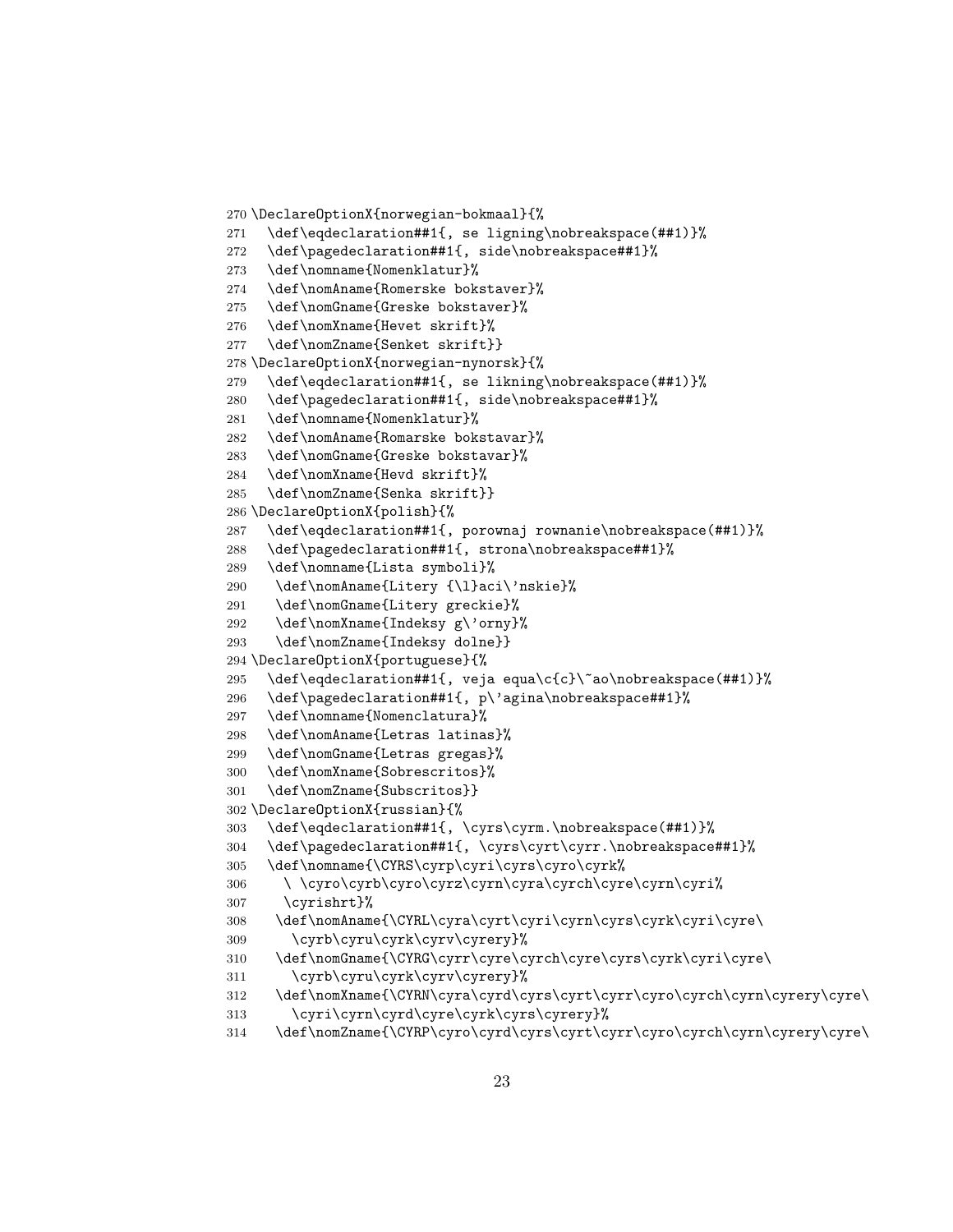```
270 \DeclareOptionX{norwegian-bokmaal}{%
271 \def\eqdeclaration##1{, se ligning\nobreakspace(##1)}%
272 \def\pagedeclaration##1{, side\nobreakspace##1}%
273 \def\nomname{Nomenklatur}%
274 \def\nomAname{Romerske bokstaver}%
275 \def\nomGname{Greske bokstaver}%
276 \def\nomXname{Hevet skrift}%
277 \def\nomZname{Senket skrift}}
278 \DeclareOptionX{norwegian-nynorsk}{%
279 \def\eqdeclaration##1{, se likning\nobreakspace(##1)}%
280 \def\pagedeclaration##1{, side\nobreakspace##1}%
281 \def\nomname{Nomenklatur}%
282 \def\nomAname{Romarske bokstavar}%
283 \def\nomGname{Greske bokstavar}%
284 \def\nomXname{Hevd skrift}%
285 \def\nomZname{Senka skrift}}
286 \DeclareOptionX{polish}{%
287 \def\eqdeclaration##1{, porownaj rownanie\nobreakspace(##1)}%
288 \def\pagedeclaration##1{, strona\nobreakspace##1}%
289 \def\nomname{Lista symboli}%
290 \def\nomAname{Litery {\l}aci\'nskie}%
291 \def\nomGname{Litery greckie}%
292 \def\nomXname{Indeksy g\'orny}%
293 \def\nomZname{Indeksy dolne}}
294 \DeclareOptionX{portuguese}{%
295 \def\eqdeclaration##1{, veja equa\c{c}\~ao\nobreakspace(##1)}%
296 \def\pagedeclaration##1{, p\'agina\nobreakspace##1}%
297 \def\nomname{Nomenclatura}%
298 \def\nomAname{Letras latinas}%
299 \def\nomGname{Letras gregas}%
300 \def\nomXname{Sobrescritos}%
301 \def\nomZname{Subscritos}}
302 \DeclareOptionX{russian}{%
303 \def\eqdeclaration##1{, \cyrs\cyrm.\nobreakspace(##1)}%
304 \def\pagedeclaration##1{, \cyrs\cyrt\cyrr.\nobreakspace##1}%
305 \def\nomname{\CYRS\cyrp\cyri\cyrs\cyro\cyrk%
306 \ \cyro\cyrb\cyro\cyrz\cyrn\cyra\cyrch\cyre\cyrn\cyri%
307 \cyrishrt}%
308 \def\nomAname{\CYRL\cyra\cyrt\cyri\cyrn\cyrs\cyrk\cyri\cyre\
309 \cyrb\cyru\cyrk\cyrv\cyrery}%
310 \def\nomGname{\CYRG\cyrr\cyre\cyrch\cyre\cyrs\cyrk\cyri\cyre\
311 \cyrb\cyru\cyrk\cyrv\cyrery}%
312 \def\nomXname{\CYRN\cyra\cyrd\cyrs\cyrt\cyrr\cyro\cyrch\cyrn\cyrery\cyre\
313 \cyri\cyrn\cyrd\cyre\cyrk\cyrs\cyrery}%
314 \def\nomZname{\CYRP\cyro\cyrd\cyrs\cyrt\cyrr\cyro\cyrch\cyrn\cyrery\cyre\
```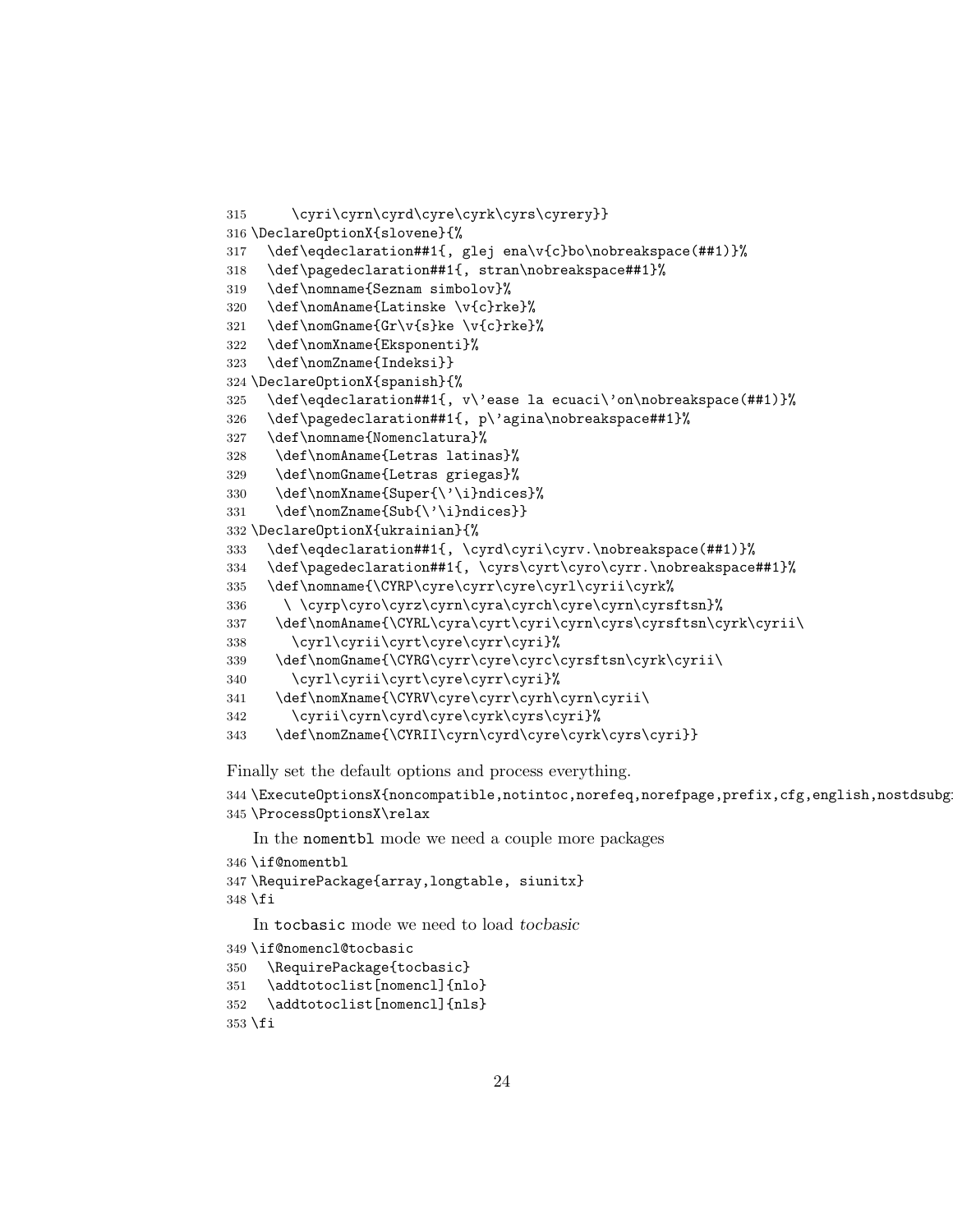```
315 \cyri\cyrn\cyrd\cyre\cyrk\cyrs\cyrery}}
316 \DeclareOptionX{slovene}{%
317 \def\eqdeclaration##1{, glej ena\v{c}bo\nobreakspace(##1)}%
318 \def\pagedeclaration##1{, stran\nobreakspace##1}%
319 \def\nomname{Seznam simbolov}%
320 \def\nomAname{Latinske \v{c}rke}%
321 \def\nomGname{Gr\v{s}ke \v{c}rke}%
322 \def\nomXname{Eksponenti}%
323 \def\nomZname{Indeksi}}
324 \DeclareOptionX{spanish}{%
325 \def\eqdeclaration##1{, v\'ease la ecuaci\'on\nobreakspace(##1)}%
326 \def\pagedeclaration##1{, p\'agina\nobreakspace##1}%
327 \def\nomname{Nomenclatura}%
328 \def\nomAname{Letras latinas}%
329 \def\nomGname{Letras griegas}%
330 \def\nomXname{Super{\'\i}ndices}%
331 \def\nomZname{Sub{\'\i}ndices}}
332 \DeclareOptionX{ukrainian}{%
333 \def\eqdeclaration##1{, \cyrd\cyri\cyrv.\nobreakspace(##1)}%
334 \def\pagedeclaration##1{, \cyrs\cyrt\cyro\cyrr.\nobreakspace##1}%
335 \def\nomname{\CYRP\cyre\cyrr\cyre\cyrl\cyrii\cyrk%
336 \ \cyrp\cyro\cyrz\cyrn\cyra\cyrch\cyre\cyrn\cyrsftsn}%
337 \def\nomAname{\CYRL\cyra\cyrt\cyri\cyrn\cyrs\cyrsftsn\cyrk\cyrii\
338 \cyrl\cyrii\cyrt\cyre\cyrr\cyri}%
339 \def\nomGname{\CYRG\cyrr\cyre\cyrc\cyrsftsn\cyrk\cyrii\
340 \cyrl\cyrii\cyrt\cyre\cyrr\cyri}%
341 \def\nomXname{\CYRV\cyre\cyrr\cyrh\cyrn\cyrii\
342 \cyrii\cyrn\cyrd\cyre\cyrk\cyrs\cyri}%
343 \def\nomZname{\CYRII\cyrn\cyrd\cyre\cyrk\cyrs\cyri}}
```
Finally set the default options and process everything.

```
344 \ExecuteOptionsX{noncompatible,notintoc,norefeq,norefpage,prefix,cfg,english,nostdsubg
345 \ProcessOptionsX\relax
```
In the nomentbl mode we need a couple more packages

```
346 \if@nomentbl
347 \RequirePackage{array,longtable, siunitx}
348 \fi
   In tocbasic mode we need to load tocbasic
349 \if@nomencl@tocbasic
350 \RequirePackage{tocbasic}
```

```
351 \addtotoclist[nomencl]{nlo}
352 \addtotoclist[nomencl]{nls}
353 \fi
```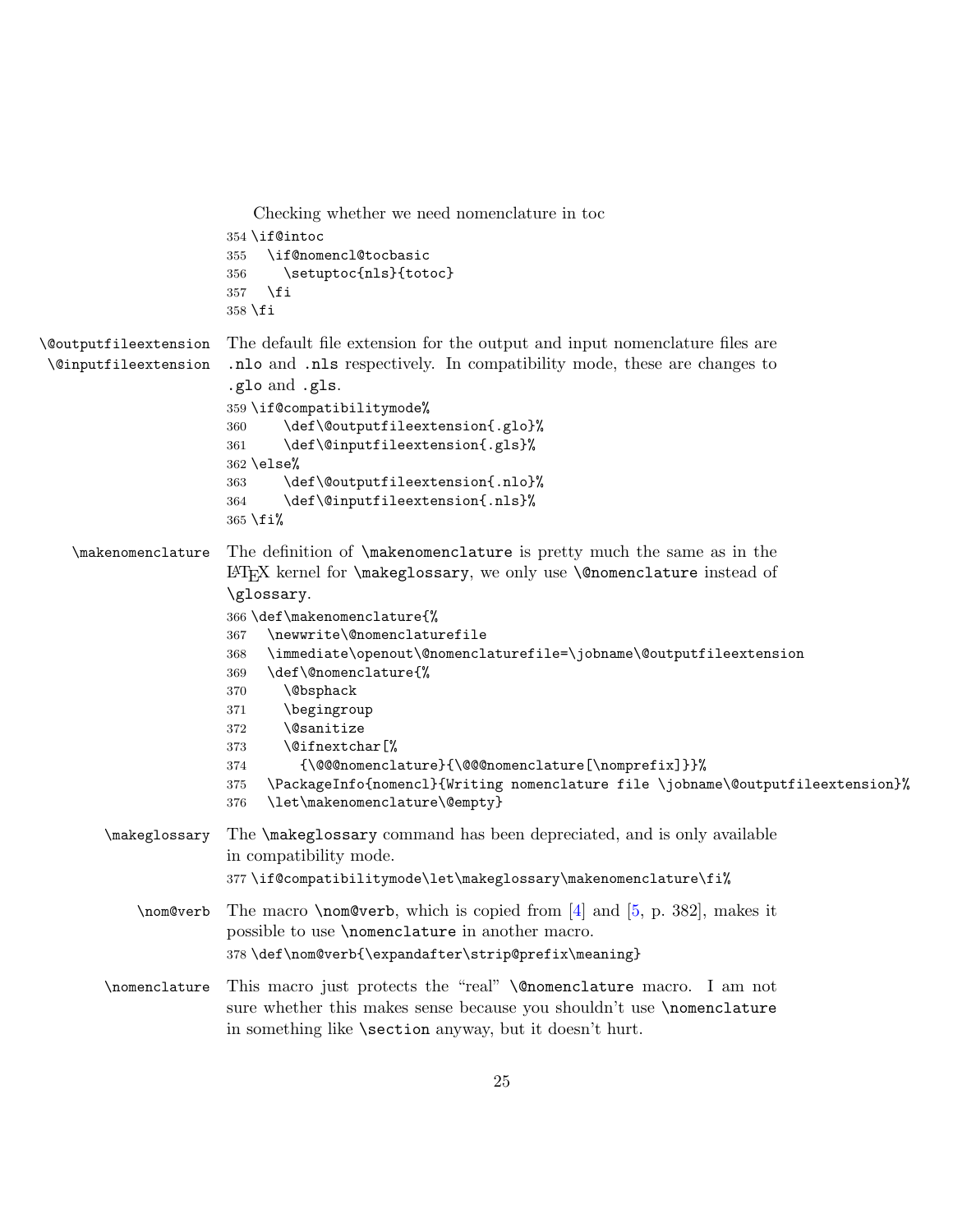```
Checking whether we need nomenclature in toc
                       354 \if@intoc
                       355 \if@nomencl@tocbasic
                       356 \setuptoc{nls}{totoc}
                       357 \fi
                       358 \fi
\@outputfileextension
 \@inputfileextension
                       The default file extension for the output and input nomenclature files are
                       .nlo and .nls respectively. In compatibility mode, these are changes to
                       .glo and .gls.
                       359 \if@compatibilitymode%
                       360 \def\@outputfileextension{.glo}%
                       361 \def\@inputfileextension{.gls}%
                       362 \else%
                       363 \def\@outputfileextension{.nlo}%
                       364 \def\@inputfileextension{.nls}%
                       365 \fi%
    \makenomenclature The definition of \makenomenclature is pretty much the same as in the
                       LATEX kernel for \makeglossary, we only use \@nomenclature instead of
                       \glossary.
                       366 \def\makenomenclature{%
                       367 \newwrite\@nomenclaturefile
                       368 \immediate\openout\@nomenclaturefile=\jobname\@outputfileextension
                       369 \def\@nomenclature{%
                       370 \@bsphack
                       371 \begingroup
                       372 \@sanitize
                       373 \@ifnextchar[%
                       374 {\@@@nomenclature}{\@@@nomenclature[\nomprefix]}}%
                       375 \PackageInfo{nomencl}{Writing nomenclature file \jobname\@outputfileextension}%
                       376 \let\makenomenclature\@empty}
        \makeglossary The \makeglossary command has been depreciated, and is only available
                       in compatibility mode.
                       377 \if@compatibilitymode\let\makeglossary\makenomenclature\fi%
            \nom@verb The macro \nom@verb, which is copied from [4] and [5, p. 382], makes it
                       possible to use \nomenclature in another macro.
                       378 \def\nom@verb{\expandafter\strip@prefix\meaning}
        \nomenclature This macro just protects the "real" \@nomenclature macro. I am not
                       sure whether this makes sense because you shouldn't use \nomenclature
                       in something like \section anyway, but it doesn't hurt.
```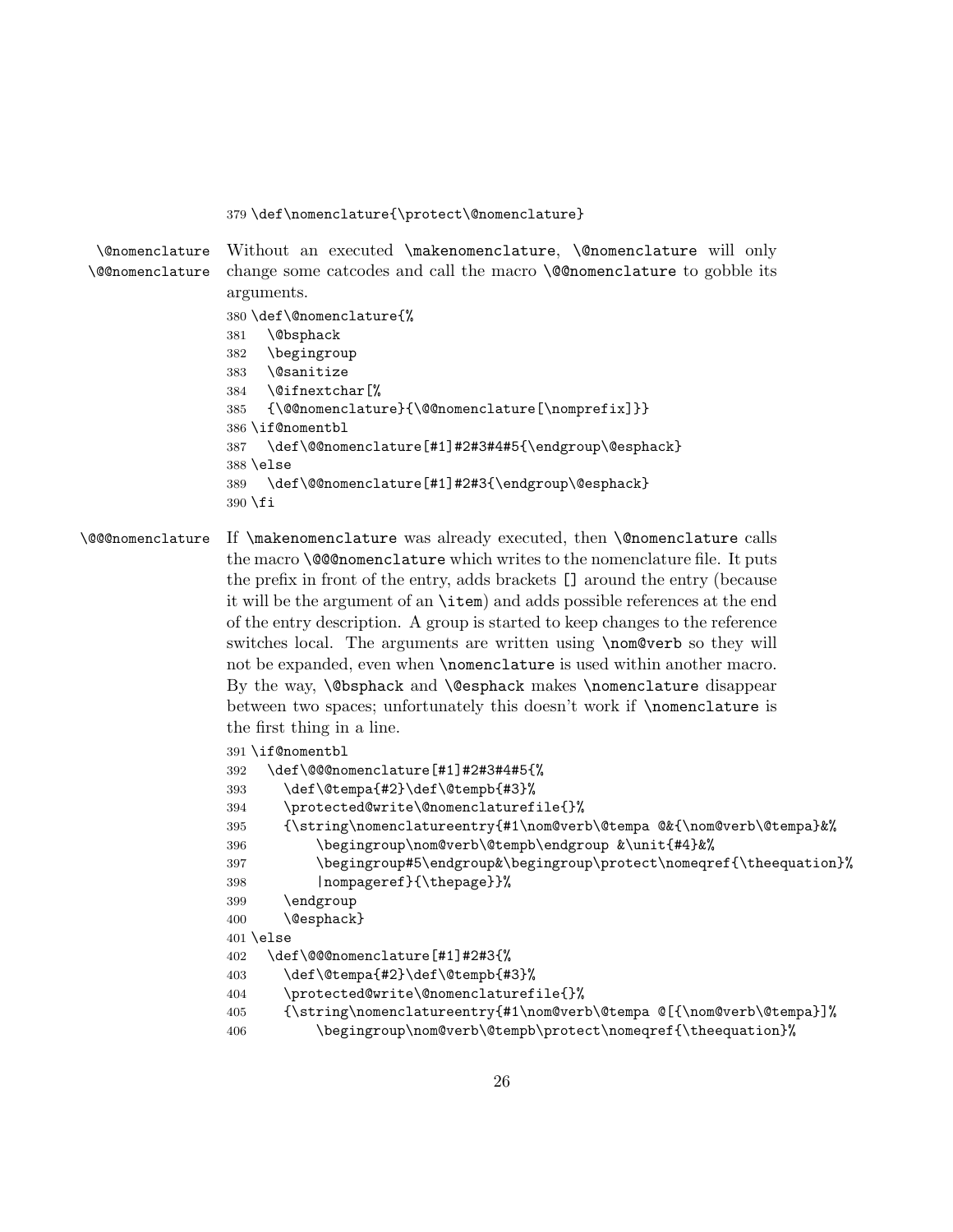#### <span id="page-25-0"></span>\def\nomenclature{\protect\@nomenclature}

<span id="page-25-3"></span><span id="page-25-2"></span>\@nomenclature \@@nomenclature Without an executed \makenomenclature, \@nomenclature will only change some catcodes and call the macro \@@nomenclature to gobble its arguments. \def\@nomenclature{% \@bsphack \begingroup \@sanitize \@ifnextchar[% {\@@nomenclature}{\@@nomenclature[\nomprefix]}} \if@nomentbl

```
387 \def\@@nomenclature[#1]#2#3#4#5{\endgroup\@esphack}
388 \else
```

```
389 \def\@@nomenclature[#1]#2#3{\endgroup\@esphack}
390 \fi
```
## <span id="page-25-1"></span>\@@@nomenclature If \makenomenclature was already executed, then \@nomenclature calls the macro **\@@nomenclature** which writes to the nomenclature file. It puts the prefix in front of the entry, adds brackets [] around the entry (because it will be the argument of an \item) and adds possible references at the end of the entry description. A group is started to keep changes to the reference switches local. The arguments are written using \nom@verb so they will not be expanded, even when **\nomenclature** is used within another macro. By the way, \@bsphack and \@esphack makes \nomenclature disappear between two spaces; unfortunately this doesn't work if **\nomenclature** is the first thing in a line.

```
391 \if@nomentbl
392 \def\@@@nomenclature[#1]#2#3#4#5{%
393 \def\@tempa{#2}\def\@tempb{#3}%
394 \protected@write\@nomenclaturefile{}%
395 {\string\nomenclatureentry{#1\nom@verb\@tempa @&{\nom@verb\@tempa}&%
396 \begingroup\nom@verb\@tempb\endgroup &\unit{#4}&%
397 \begingroup#5\endgroup&\begingroup\protect\nomeqref{\theequation}%
398 |nompageref}{\thepage}}%
399 \endgroup
400 \@esphack}
401 \else
402 \def\@@@nomenclature[#1]#2#3{%
403 \def\@tempa{#2}\def\@tempb{#3}%
404 \protected@write\@nomenclaturefile{}%
405 {\string\nomenclatureentry{#1\nom@verb\@tempa @[{\nom@verb\@tempa}]%
406 \begingroup\nom@verb\@tempb\protect\nomeqref{\theequation}%
```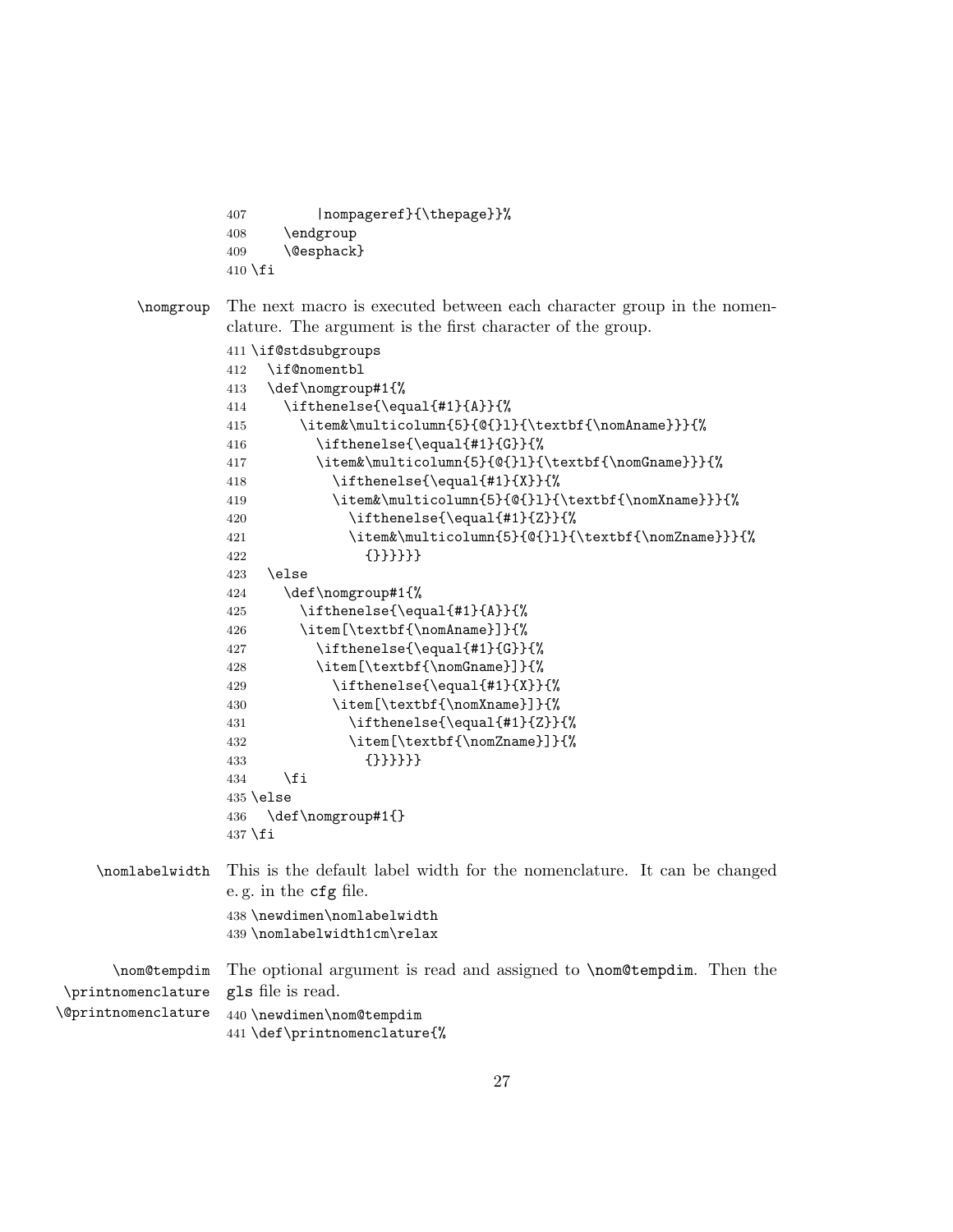```
407 |nompageref}{\thepage}}%
408 \endgroup
409 \@esphack}
410 \fi
```
<span id="page-26-3"></span>\nomgroup The next macro is executed between each character group in the nomenclature. The argument is the first character of the group.

```
411 \if@stdsubgroups
                        412 \if@nomentbl
                        413 \def\nomgroup#1{%
                        414 \ifthenelse{\equal{#1}{A}}{%
                        415 \item&\multicolumn{5}{@{}l}{\textbf{\nomAname}}}{%
                        416 \i{thenelse}{\equal{#1}{G}}417 \item&\multicolumn{5}{@{}l}{\textbf{\nomGname}}}{%
                        418 \ifthenelse{\equal{#1}{X}}{%
                        419 \item&\multicolumn{5}{@{}l}{\textbf{\nomXname}}}{%
                        420 \ifthenelse{\eq{+1}{Z}}{\%421 \item&\multicolumn{5}{@{}l}{\textbf{\nomZname}}}{%
                        422 {}}}}}}
                        423 \else
                        424 \def\nomgroup#1{%
                        425 \ifthenelse{\equal{#1}{A}}{%
                        426 \item[\textbf{\nomAname}]}{%
                        427 \ifthenelse{\equal{#1}{G}}{%
                        428 \item[\textbf{\nomGname}]}{%
                        429 \ifthenelse{\eq{+1}{4}\430 \item[\textbf{\nomXname}]}{%
                        431 \ifthenelse{\eq{+1}{Z}}{\%432 \item[\textbf{\nomZname}]}{%
                        433 {}}}}}}
                        434 \fi
                        435 \else
                        436 \def\nomgroup#1{}
                        437\ifmmode\big\langle 1\big\rangle \else 437\ifmmode\big\langle 1\big\rangle \else 437\ifmmode\big\langle 1\big\rangle \else 437\fi \ifmmode\big\langle 1\big\rangle \else 437\fi \ifmmode\big\langle 1\big\rangle \else 437\fi \ifmmode\big\langle 1\big\rangle \else 437\fi \ifmmode\big\langle 1\big\rangle \else 437\fi \ifmmode\big\langle 1\big\rangle \else 437\fi \ifmmode\big\langle 1\\nomlabelwidth This is the default label width for the nomenclature. It can be changed
                        e. g. in the cfg file.
                         438 \newdimen\nomlabelwidth
                        439 \nomlabelwidth1cm\relax
        \nom@tempdim
 \printnomenclature
\@printnomenclature
                        The optional argument is read and assigned to \nom@tempdim. Then the
                        gls file is read.
                        440 \newdimen\nom@tempdim
                         441 \def\printnomenclature{%
```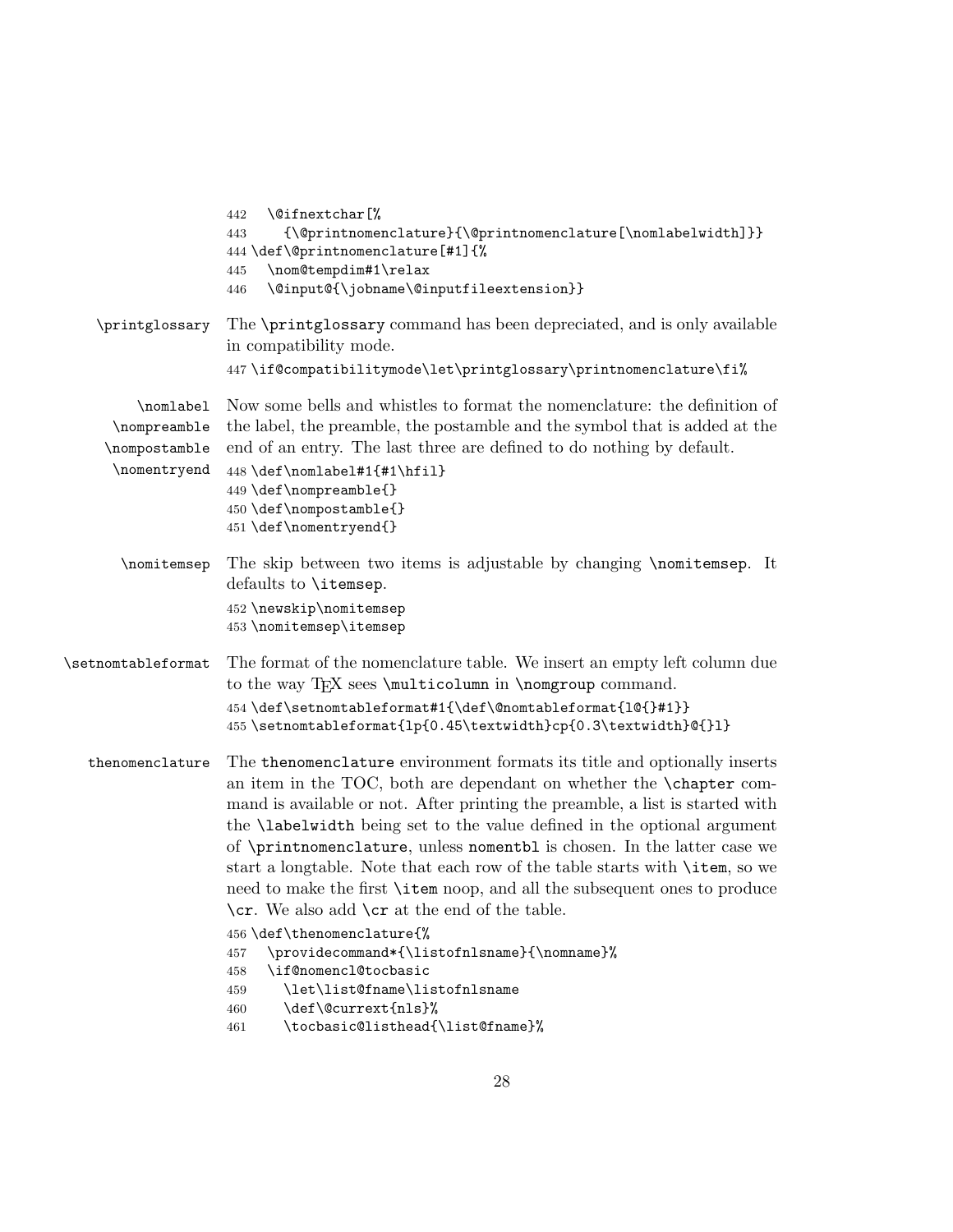<span id="page-27-8"></span><span id="page-27-7"></span><span id="page-27-6"></span><span id="page-27-5"></span><span id="page-27-4"></span><span id="page-27-3"></span><span id="page-27-2"></span><span id="page-27-1"></span><span id="page-27-0"></span>

|                                                            | \@ifnextchar[%<br>442<br>$\label{thm:main} $$ \@printnomenclature} \@printnomenclature[\nonlabelwidth} $$$<br>443<br>444 \def\@printnomenclature[#1]{%<br>\nom@tempdim#1\relax<br>445<br>\@input@{\jobname\@inputfileextension}}<br>446                                                                                                                                                                                                                                                                                                                                                                                                                                                                                                                                                                                                                              |
|------------------------------------------------------------|----------------------------------------------------------------------------------------------------------------------------------------------------------------------------------------------------------------------------------------------------------------------------------------------------------------------------------------------------------------------------------------------------------------------------------------------------------------------------------------------------------------------------------------------------------------------------------------------------------------------------------------------------------------------------------------------------------------------------------------------------------------------------------------------------------------------------------------------------------------------|
| \printglossary                                             | The \printglossary command has been depreciated, and is only available<br>in compatibility mode.<br>447\if@compatibilitymode\let\printglossary\printnomenclature\fi%                                                                                                                                                                                                                                                                                                                                                                                                                                                                                                                                                                                                                                                                                                 |
| \nomlabel<br>\nompreamble<br>\nompostamble<br>\nomentryend | Now some bells and whistles to format the nomenclature: the definition of<br>the label, the preamble, the postamble and the symbol that is added at the<br>end of an entry. The last three are defined to do nothing by default.<br>448 \def\nomlabel#1{#1\hfil}<br>449 \def\nompreamble{}<br>450 \def\nompostamble{}<br>451 \def\nomentryend{}                                                                                                                                                                                                                                                                                                                                                                                                                                                                                                                      |
| \nomitemsep                                                | The skip between two items is adjustable by changing \nomitemsep. It<br>defaults to \itemsep.<br>452 \newskip\nomitemsep<br>453 \nomitemsep\itemsep                                                                                                                                                                                                                                                                                                                                                                                                                                                                                                                                                                                                                                                                                                                  |
| \setnomtableformat                                         | The format of the nomenclature table. We insert an empty left column due<br>to the way TFX sees \multicolumn in \nomgroup command.<br>454 \def\setnomtableformat#1{\def\@nomtableformat{1@{}#1}}<br>455 \setnomtableformat{lp{0.45\textwidth}cp{0.3\textwidth}@{}1}                                                                                                                                                                                                                                                                                                                                                                                                                                                                                                                                                                                                  |
| thenomenclature                                            | The thenomenclature environment formats its title and optionally inserts<br>an item in the TOC, both are dependant on whether the <b>\chapter</b> com-<br>mand is available or not. After printing the preamble, a list is started with<br>the <b>\labelwidth</b> being set to the value defined in the optional argument<br>of \printnomenclature, unless nomentbl is chosen. In the latter case we<br>start a longtable. Note that each row of the table starts with <b>\item</b> , so we<br>need to make the first <b>\item</b> noop, and all the subsequent ones to produce<br>\cr. We also add \cr at the end of the table.<br>456 \def\thenomenclature{%<br>\providecommand*{\listofnlsname}{\nomname}%<br>457<br>\if@nomencl@tocbasic<br>458<br>\let\list@fname\listofnlsname<br>459<br>\def\@currext{nls}%<br>460<br>\tocbasic@listhead{\list@fname}%<br>461 |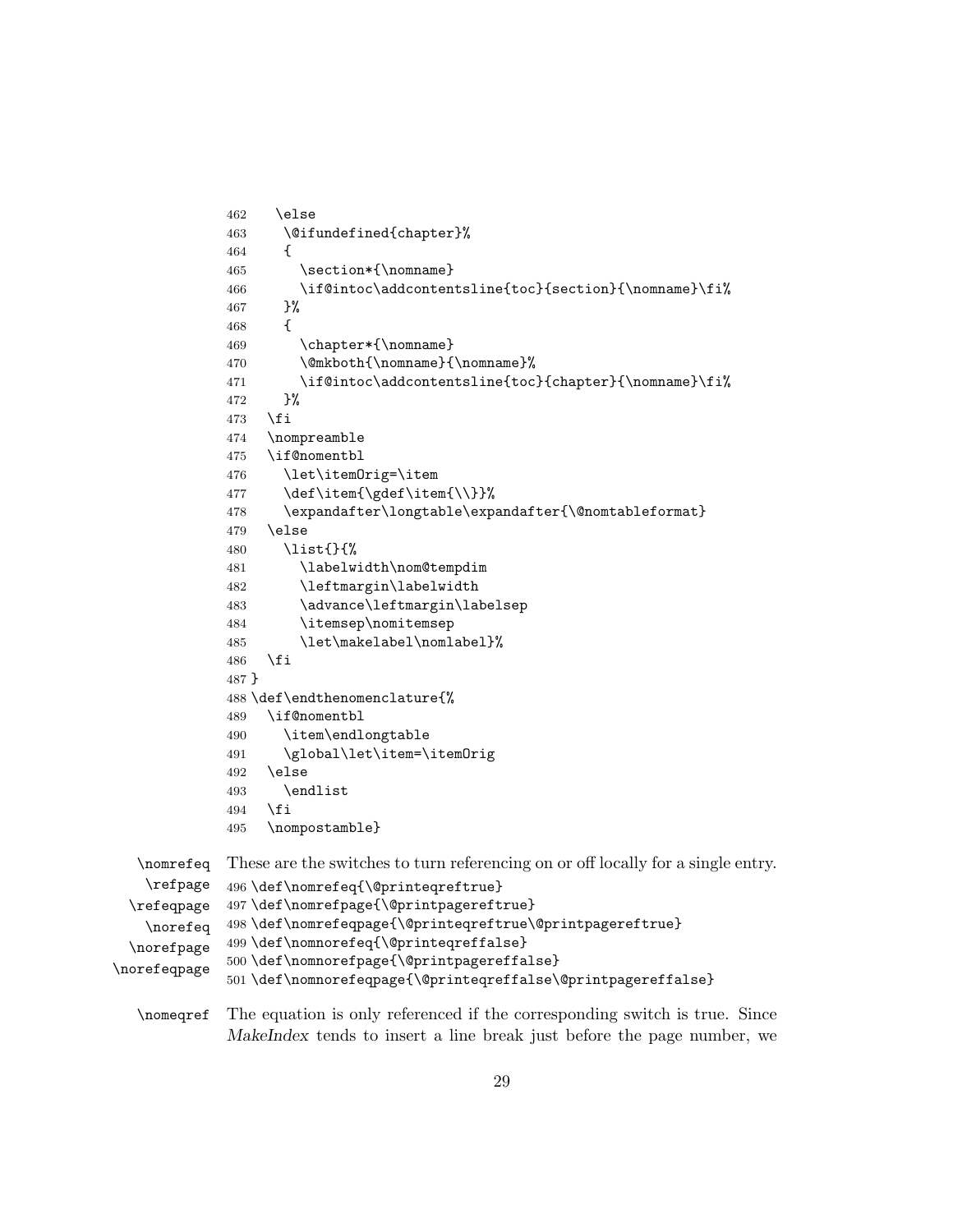```
462 \else
             463 \@ifundefined{chapter}%
             464 {
             465 \section*{\nomname}
             466 \if@intoc\addcontentsline{toc}{section}{\nomname}\fi%
             467 }%
             468 {
             469 \chapter*{\nomname}
             470 \@mkboth{\nomname}{\nomname}%
             471 \if@intoc\addcontentsline{toc}{chapter}{\nomname}\fi%
             472 }%
             473 \fi
             474 \nompreamble
             475 \if@nomentbl
             476 \let\itemOrig=\item
             477 \def\item{\gdef\item{\\}}%
             478 \expandafter\longtable\expandafter{\@nomtableformat}
             479 \else
             480 \list{}{%
             481 \labelwidth\nom@tempdim
             482 \leftmargin\labelwidth
             483 \advance\leftmargin\labelsep
             484 \itemsep\nomitemsep
             485 \let\makelabel\nomlabel}%
             486 \fi
             487 }
             488 \def\endthenomenclature{%
             489 \if@nomentbl
             490 \item\endlongtable
             491 \global\let\item=\itemOrig
             492 \else
             493 \endlist
             494 \fi
             495 \nompostamble}
  \nomrefeq
   \refpage
 \refeqpage
   \norefeq
 \norefpage
\norefeqpage
             These are the switches to turn referencing on or off locally for a single entry.
             496 \def\nomrefeq{\@printeqreftrue}
             497 \def\nomrefpage{\@printpagereftrue}
             498 \def\nomrefeqpage{\@printeqreftrue\@printpagereftrue}
             499 \def\nomnorefeq{\@printeqreffalse}
             500 \def\nomnorefpage{\@printpagereffalse}
             501 \def\nomnorefeqpage{\@printeqreffalse\@printpagereffalse}
  \nomeqref The equation is only referenced if the corresponding switch is true. Since
```
<span id="page-28-6"></span><span id="page-28-5"></span><span id="page-28-4"></span><span id="page-28-3"></span><span id="page-28-2"></span><span id="page-28-1"></span><span id="page-28-0"></span>MakeIndex tends to insert a line break just before the page number, we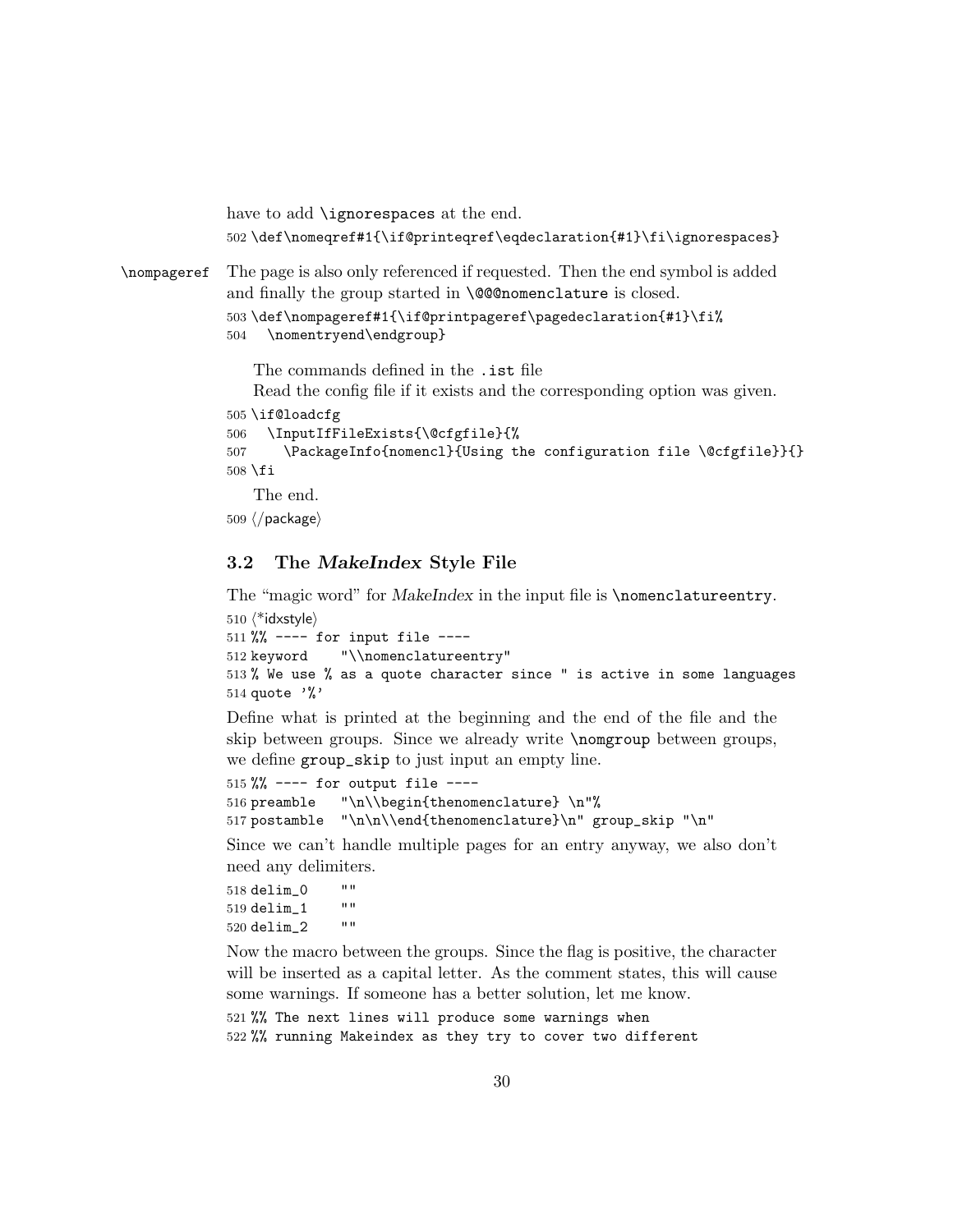```
have to add \ignorespaces at the end.
             502 \def\nomeqref#1{\if@printeqref\eqdeclaration{#1}\fi\ignorespaces}
\nompageref The page is also only referenced if requested. Then the end symbol is added
             and finally the group started in \@@nomenclature is closed.
             503 \def\nompageref#1{\if@printpageref\pagedeclaration{#1}\fi%
             504 \nomentryend\endgroup}
                 The commands defined in the .ist file
                Read the config file if it exists and the corresponding option was given.
             505 \if@loadcfg
             506 \InputIfFileExists{\@cfgfile}{%
             507 \PackageInfo{nomencl}{Using the configuration file \@cfgfile}}{}
             508 \fi
                 The end.
             509 ⟨/package⟩
```
#### <span id="page-29-0"></span>3.2 The MakeIndex Style File

The "magic word" for MakeIndex in the input file is \nomenclatureentry.

```
510 ⟨*idxstyle⟩
511 \% ---- for input file ----
512 keyword "\\nomenclatureentry"
513 % We use % as a quote character since " is active in some languages
514 quote '%'
```
Define what is printed at the beginning and the end of the file and the skip between groups. Since we already write \nomgroup between groups, we define group\_skip to just input an empty line.

```
515 %% ---- for output file ----
516 preamble "\n\\begin{thenomenclature} \n"%
517 postamble "\n\n\\end{thenomenclature}\n" group_skip "\n"
```
Since we can't handle multiple pages for an entry anyway, we also don't need any delimiters.

```
518 \text{ delim}_0 ""<br>510 \text{ delim } 1 ""
519 \text{ delim}_1 ""<br>520 \text{ delim}_2 ""
520 delim_2
```
Now the macro between the groups. Since the flag is positive, the character will be inserted as a capital letter. As the comment states, this will cause some warnings. If someone has a better solution, let me know.

```
521 %% The next lines will produce some warnings when
522 %% running Makeindex as they try to cover two different
```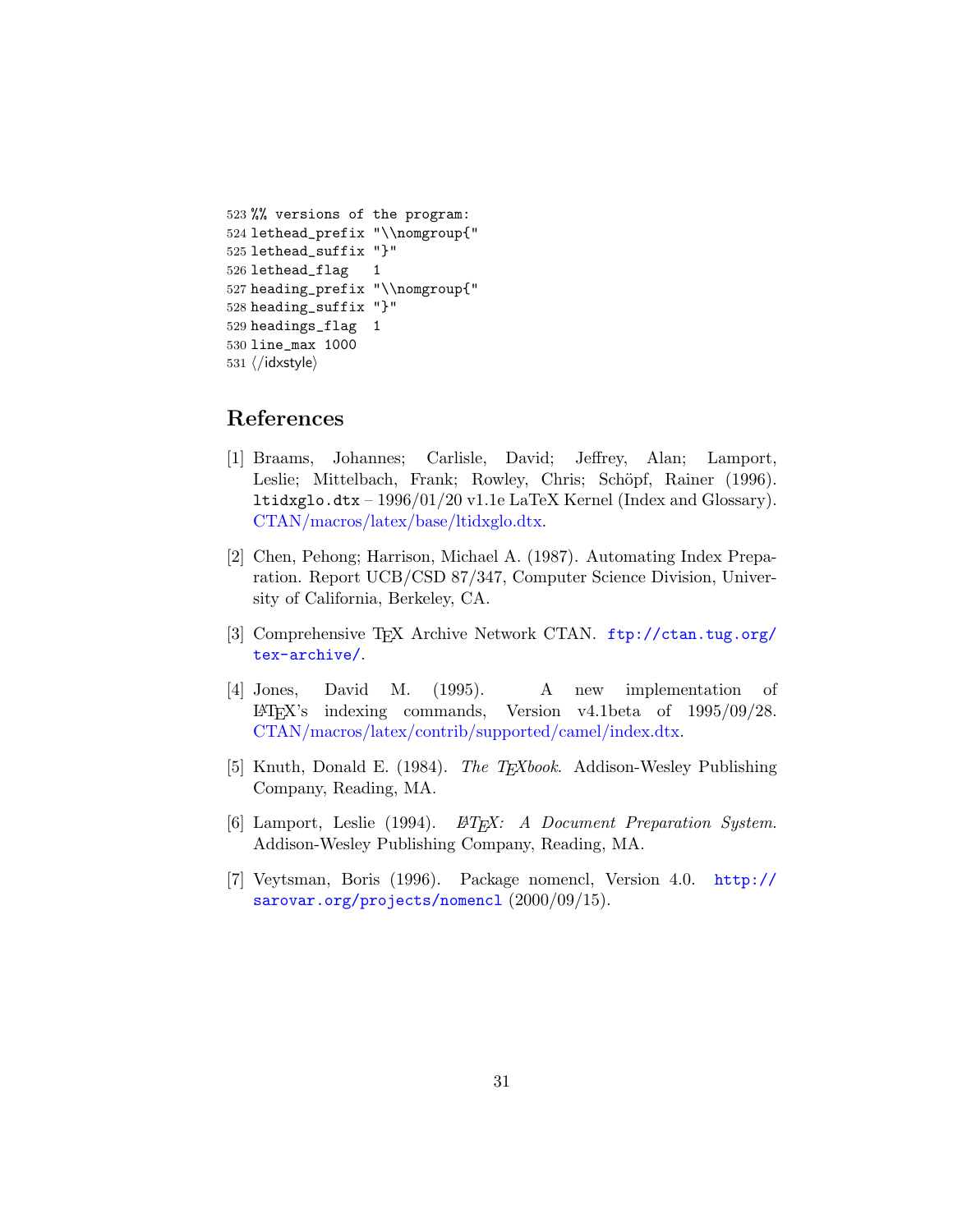```
523 %% versions of the program:
524 lethead_prefix "\\nomgroup{"
525 lethead_suffix "}"
526 lethead_flag 1
527 heading_prefix "\\nomgroup{"
528 heading_suffix "}"
529 headings_flag 1
530 line_max 1000
531 ⟨/idxstyle⟩
```
## <span id="page-30-0"></span>References

- [1] Braams, Johannes; Carlisle, David; Jeffrey, Alan; Lamport, Leslie; Mittelbach, Frank; Rowley, Chris; Schöpf, Rainer (1996). ltidxglo.dtx – 1996/01/20 v1.1e LaTeX Kernel (Index and Glossary). [CTAN/macros/latex/base/ltidxglo.dtx.](http://mirror.ctan.org/macros/latex/base/ltidxglo.dtx)
- <span id="page-30-2"></span>[2] Chen, Pehong; Harrison, Michael A. (1987). Automating Index Preparation. Report UCB/CSD 87/347, Computer Science Division, University of California, Berkeley, CA.
- <span id="page-30-3"></span>[3] Comprehensive TEX Archive Network CTAN. [ftp://ctan.tug.org/](ftp://ctan.tug.org/tex-archive/) [tex-archive/](ftp://ctan.tug.org/tex-archive/).
- <span id="page-30-4"></span>[4] Jones, David M. (1995). A new implementation of LATEX's indexing commands, Version v4.1beta of 1995/09/28. [CTAN/macros/latex/contrib/supported/camel/index.dtx.](http://mirror.ctan.org/macros/latex/contrib/camel/index.dtx)
- <span id="page-30-5"></span>[5] Knuth, Donald E. (1984). The T<sub>E</sub>Xbook. Addison-Wesley Publishing Company, Reading, MA.
- <span id="page-30-1"></span>[6] Lamport, Leslie (1994).  $\mathbb{B}T_F X$ : A Document Preparation System. Addison-Wesley Publishing Company, Reading, MA.
- [7] Veytsman, Boris (1996). Package nomencl, Version 4.0. [http://](http://sarovar.org/projects/nomencl) [sarovar.org/projects/nomencl](http://sarovar.org/projects/nomencl)  $(2000/09/15)$ .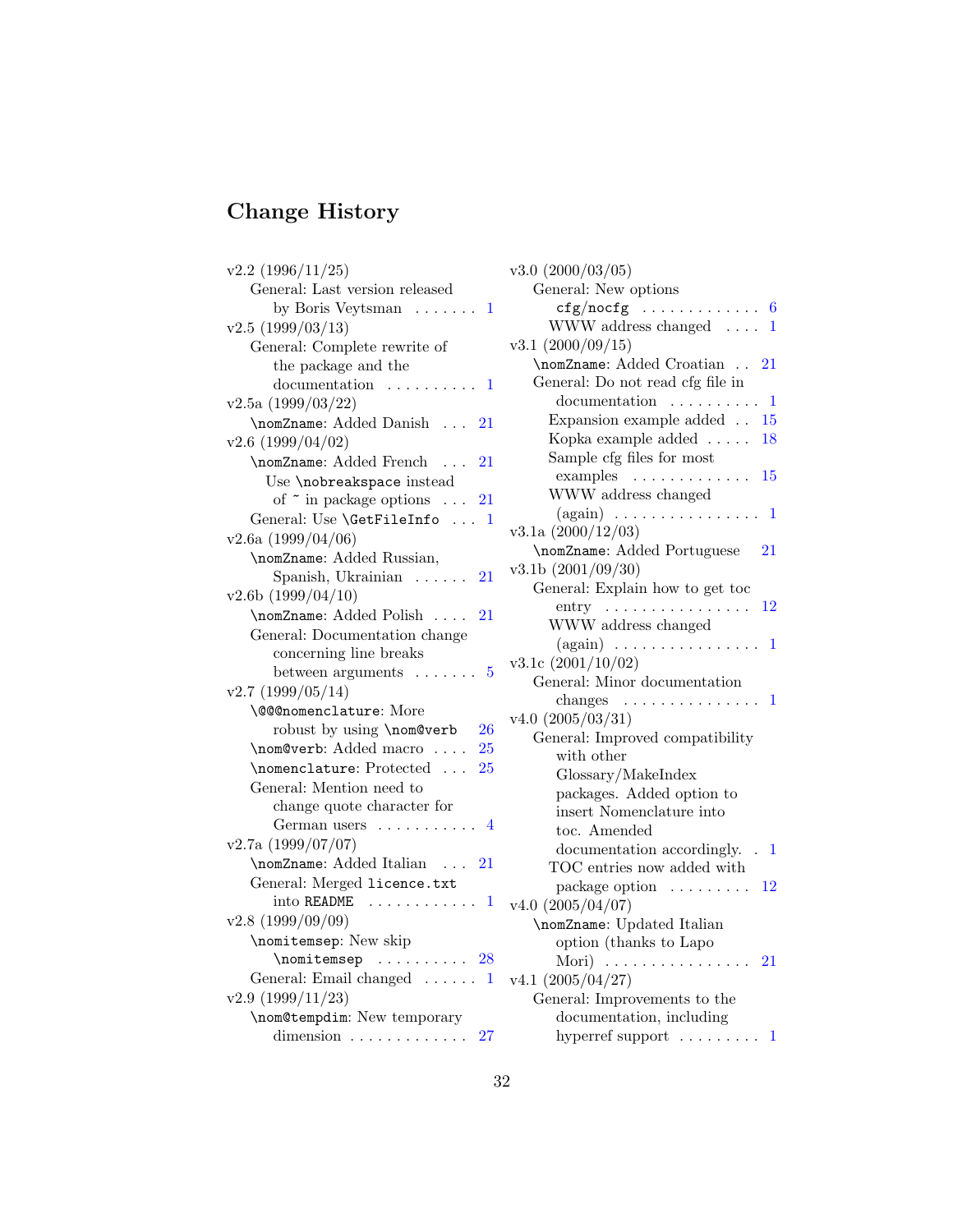# <span id="page-31-0"></span>Change History

| $v2.2$ (1996/11/25)                               | V                       |
|---------------------------------------------------|-------------------------|
| General: Last version released                    |                         |
| by Boris Veytsman $\dots \dots 1$                 |                         |
| v2.5(1999/03/13)                                  |                         |
| General: Complete rewrite of                      | V                       |
| the package and the                               |                         |
| documentation<br>. 1<br>.                         |                         |
| v2.5a(1999/03/22)                                 |                         |
| \nomZname: Added Danish<br>$^{\hphantom{1}}$ 21   |                         |
| $v2.6$ (1999/04/02)                               |                         |
| \nomZname: Added French<br>21                     |                         |
| Use \nobreakspace instead                         |                         |
| of $\tilde{\ }$ in package options $\ldots$<br>21 |                         |
| General: Use \GetFileInfo  1                      |                         |
| $v2.6a$ (1999/04/06)                              | V                       |
| \nomZname: Added Russian,                         | $\overline{\mathbf{v}}$ |
| Spanish, Ukrainian $\ldots$ . 21                  |                         |
| v2.6b(1999/04/10)                                 |                         |
| \nomZname: Added Polish<br>21                     |                         |
| General: Documentation change                     |                         |
| concerning line breaks                            | $\overline{\mathbf{V}}$ |
| between arguments $\dots \dots 5$                 |                         |
| v2.7(1999/05/14)                                  |                         |
| \@@@nomenclature: More                            | V                       |
| robust by using \nom@verb<br>26                   |                         |
| \nom@verb: Added macro<br>25                      |                         |
| \nomenclature: Protected<br>25                    |                         |
| General: Mention need to                          |                         |
| change quote character for                        |                         |
| German users $\dots \dots \dots$ 4                |                         |
| v2.7a(1999/07/07)                                 |                         |
| \nomZname: Added Italian<br>- 21                  |                         |
| General: Merged licence.txt                       |                         |
| into README<br>. 1                                |                         |
| v2.8(1999/09/09)                                  |                         |
| \nomitemsep: New skip                             |                         |
| $\text{nonitemsep}$ 28                            |                         |
| General: Email changed $\dots \dots 1$            | $\overline{\mathbf{V}}$ |
| v2.9(1999/11/23)                                  |                         |
| \nom@tempdim: New temporary                       |                         |
| dimension $\ldots \ldots \ldots$<br>27            |                         |

| $v3.0$ $(2000/03/05)$                             |
|---------------------------------------------------|
| General: New options                              |
|                                                   |
| WWW address changed $\dots$<br>1                  |
| v3.1 (2000/09/15)                                 |
| \nomZname: Added Croatian<br>21                   |
| General: Do not read cfg file in                  |
| documentation $\dots \dots \dots 1$               |
| Expansion example added $\ldots$ 15               |
| Kopka example added $\dots$<br>18                 |
| Sample cfg files for most                         |
| examples $\dots \dots \dots \dots \dots 15$       |
| WWW address changed                               |
| $(again) \ldots \ldots \ldots \ldots$<br>1        |
| $v3.1a$ $(2000/12/03)$                            |
| \nomZname: Added Portuguese<br>21                 |
| v3.1b(2001/09/30)                                 |
| General: Explain how to get too                   |
| $entry \ldots \ldots \ldots \ldots$<br>$^{12}$    |
| WWW address changed                               |
| $(again) \ldots \ldots \ldots \ldots \ldots$<br>1 |
| $v3.1c$ $(2001/10/02)$                            |
| General: Minor documentation                      |
| $\alpha$ changes<br>1                             |
| $v4.0$ $(2005/03/31)$                             |
| General: Improved compatibility                   |
| with other                                        |
| Glossary/MakeIndex                                |
| packages. Added option to                         |
| insert Nomenclature into                          |
| toc. Amended                                      |
|                                                   |
| documentation accordingly<br>1                    |
| TOC entries now added with                        |
| package option $\ldots \ldots \ldots 12$          |
| $v4.0$ $(2005/04/07)$                             |
| \nomZname: Updated Italian                        |
| option (thanks to Lapo                            |
| Mori)<br>21<br>$\ldots$<br>.                      |
| v4.1 (2005/04/27)                                 |
| General: Improvements to the                      |
| documentation, including                          |
| hyperref support $\dots\dots\dots$<br>1           |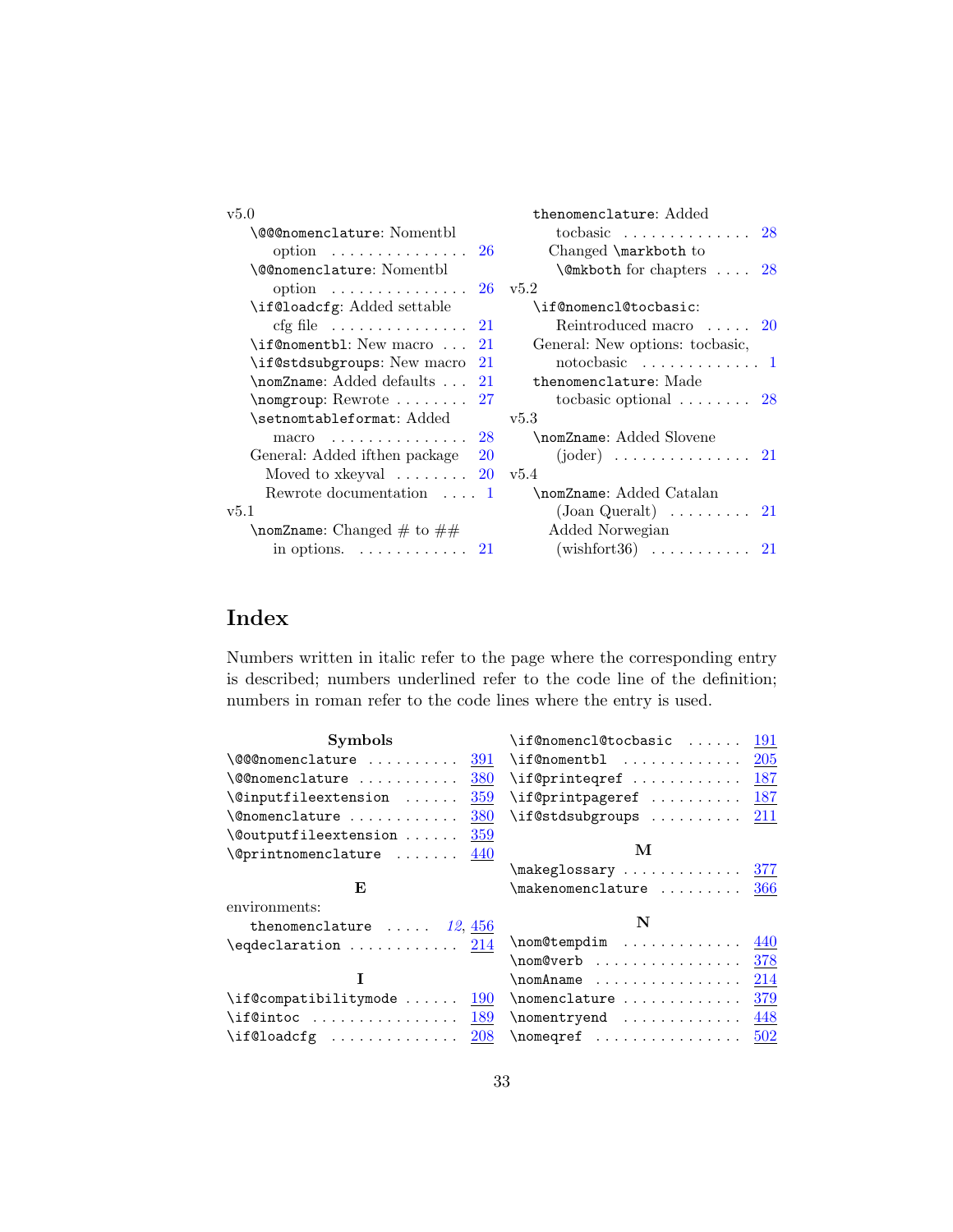| v5.0                                            | thenomenclature: Added                           |
|-------------------------------------------------|--------------------------------------------------|
| \@@@nomenclature: Nomentbl                      | tocbasic $28$                                    |
| option $\ldots \ldots \ldots \ldots 26$         | Changed \markboth to                             |
| \@@nomenclature: Nomentbl                       | $\mathcal{Q}$ mkboth for chapters $\ldots$<br>28 |
| option $26 \text{ v}5.2$                        |                                                  |
| \if@loadcfg: Added settable                     | \if@nomencl@tocbasic:                            |
| $\text{cfg file} \dots \dots \dots \dots$<br>21 | Reintroduced macro  20                           |
| \if@nomentbl: New macro<br>21                   | General: New options: tocbasic,                  |
| \if@stdsubgroups: New macro<br>21               | notocbasic $1$                                   |
| \nomZname: Added defaults<br>21                 | thenomenclature: Made                            |
| $\emptyset$ nomgroup: Rewrote<br>27             | tochasic optional $\ldots \ldots \ldots$ 28      |
| \setnomtableformat: Added                       | v5.3                                             |
| macro $28$                                      | \nomZname: Added Slovene                         |
| General: Added if then package<br>20            |                                                  |
| Moved to $x$ keyval $\dots \dots$<br>20         | v5.4                                             |
| Rewrote documentation $\dots$ 1                 | \nomZname: Added Catalan                         |
| v5.1                                            | $($ Joan Queralt $) \ldots \ldots \ldots 21$     |
| \nomZname: Changed # to $\#\#$                  | Added Norwegian                                  |
| in options. $\ldots \ldots \ldots \ldots 21$    | $(wishfort36) \ldots \ldots \ldots 21$           |
|                                                 |                                                  |

## Index

Numbers written in italic refer to the page where the corresponding entry is described; numbers underlined refer to the code line of the definition; numbers in roman refer to the code lines where the entry is used.

| <b>Symbols</b>                                                                                                                                                                         | \if@nomencl@tocbasic     | <b>191</b> |
|----------------------------------------------------------------------------------------------------------------------------------------------------------------------------------------|--------------------------|------------|
| $\qquad$<br>391                                                                                                                                                                        | \if@nomentbl             | 205        |
| \@@nomenclature<br>380                                                                                                                                                                 | \if@printeqref           | 187        |
| $\langle$ Cinputfileextension<br><b>359</b>                                                                                                                                            | \if@printpageref         | <b>187</b> |
| <b>380</b>                                                                                                                                                                             | \if@stdsubgroups         | 211        |
| 359<br>\@outputfileextension                                                                                                                                                           |                          |            |
| $\sqrt{c}$ printnomenclature<br>440                                                                                                                                                    | M                        |            |
|                                                                                                                                                                                        | $\mathcal{O}$            | 377        |
| E                                                                                                                                                                                      | \makenomenclature        | 366        |
| environments:                                                                                                                                                                          |                          |            |
| thenomenclature $\ldots$ 12, 456                                                                                                                                                       | N                        |            |
| $\texttt{`eqdeclaration    214}$                                                                                                                                                       | \nom@tempdim             | 440        |
|                                                                                                                                                                                        | \nom@verb                | 378        |
|                                                                                                                                                                                        |                          | <u>214</u> |
| \if@compatibilitymode<br><b>190</b>                                                                                                                                                    | $\emptyset$ nomenclature | 379        |
|                                                                                                                                                                                        | \nomentryend             | 448        |
| $\left\{ \begin{array}{ccc} \cdot & \cdot & \cdot & \cdot & \cdot \\ \cdot & \cdot & \cdot & \cdot & \cdot \\ \cdot & \cdot & \cdot & \cdot & \cdot \end{array} \right.$<br><b>208</b> |                          | 502        |
|                                                                                                                                                                                        |                          |            |